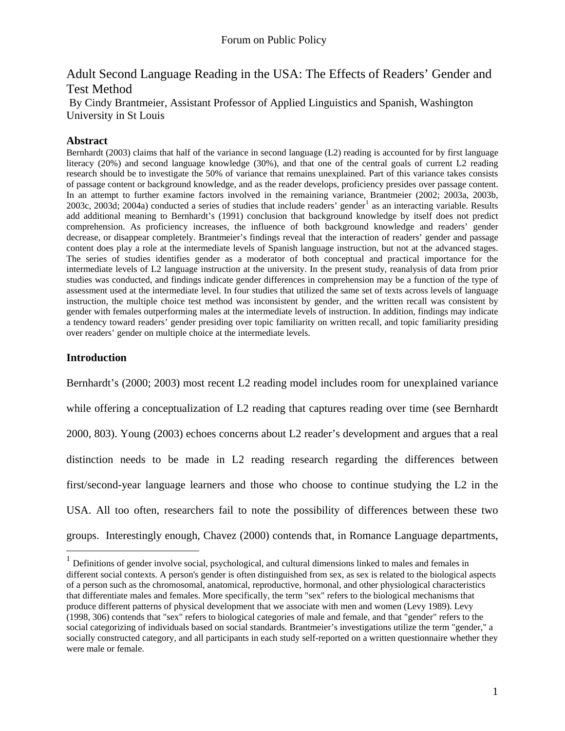# Adult Second Language Reading in the USA: The Effects of Readers' Gender and Test Method

By Cindy Brantmeier, Assistant Professor of Applied Linguistics and Spanish, Washington University in St Louis

## **Abstract**

Bernhardt (2003) claims that half of the variance in second language (L2) reading is accounted for by first language literacy (20%) and second language knowledge (30%), and that one of the central goals of current L2 reading research should be to investigate the 50% of variance that remains unexplained. Part of this variance takes consists of passage content or background knowledge, and as the reader develops, proficiency presides over passage content. In an attempt to further examine factors involved in the remaining variance, Brantmeier (2002; 2003a, 2003b, 2003c, 2003d; 2004a) conducted a series of studies that include readers' gender<sup>[1](#page-0-0)</sup> as an interacting variable. Results add additional meaning to Bernhardt's (1991) conclusion that background knowledge by itself does not predict comprehension. As proficiency increases, the influence of both background knowledge and readers' gender decrease, or disappear completely. Brantmeier's findings reveal that the interaction of readers' gender and passage content does play a role at the intermediate levels of Spanish language instruction, but not at the advanced stages. The series of studies identifies gender as a moderator of both conceptual and practical importance for the intermediate levels of L2 language instruction at the university. In the present study, reanalysis of data from prior studies was conducted, and findings indicate gender differences in comprehension may be a function of the type of assessment used at the intermediate level. In four studies that utilized the same set of texts across levels of language instruction, the multiple choice test method was inconsistent by gender, and the written recall was consistent by gender with females outperforming males at the intermediate levels of instruction. In addition, findings may indicate a tendency toward readers' gender presiding over topic familiarity on written recall, and topic familiarity presiding over readers' gender on multiple choice at the intermediate levels.

## **Introduction**

 $\overline{a}$ 

Bernhardt's (2000; 2003) most recent L2 reading model includes room for unexplained variance while offering a conceptualization of L2 reading that captures reading over time (see Bernhardt 2000, 803). Young (2003) echoes concerns about L2 reader's development and argues that a real distinction needs to be made in L2 reading research regarding the differences between first/second-year language learners and those who choose to continue studying the L2 in the USA. All too often, researchers fail to note the possibility of differences between these two groups. Interestingly enough, Chavez (2000) contends that, in Romance Language departments,

<span id="page-0-0"></span><sup>&</sup>lt;sup>1</sup> Definitions of gender involve social, psychological, and cultural dimensions linked to males and females in different social contexts. A person's gender is often distinguished from sex, as sex is related to the biological aspects of a person such as the chromosomal, anatomical, reproductive, hormonal, and other physiological characteristics that differentiate males and females. More specifically, the term "sex" refers to the biological mechanisms that produce different patterns of physical development that we associate with men and women (Levy 1989). Levy (1998, 306) contends that "sex" refers to biological categories of male and female, and that "gender" refers to the social categorizing of individuals based on social standards. Brantmeier's investigations utilize the term "gender," a socially constructed category, and all participants in each study self-reported on a written questionnaire whether they were male or female.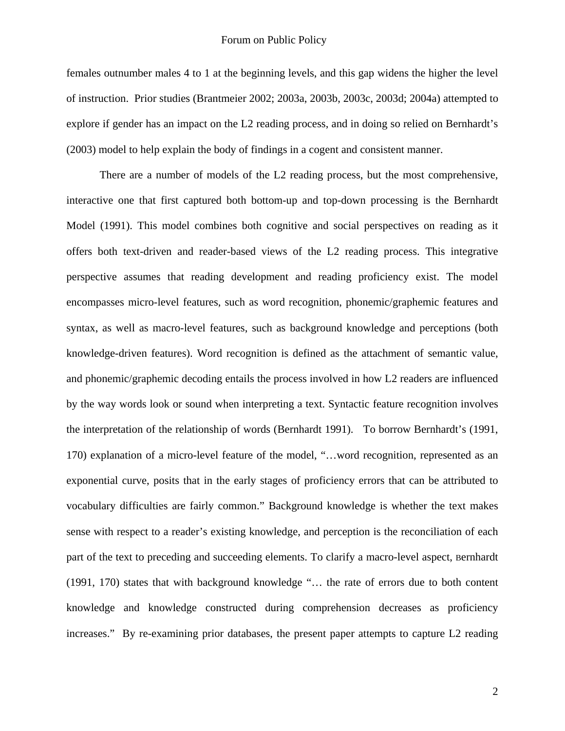females outnumber males 4 to 1 at the beginning levels, and this gap widens the higher the level of instruction. Prior studies (Brantmeier 2002; 2003a, 2003b, 2003c, 2003d; 2004a) attempted to explore if gender has an impact on the L2 reading process, and in doing so relied on Bernhardt's (2003) model to help explain the body of findings in a cogent and consistent manner.

There are a number of models of the L2 reading process, but the most comprehensive, interactive one that first captured both bottom-up and top-down processing is the Bernhardt Model (1991). This model combines both cognitive and social perspectives on reading as it offers both text-driven and reader-based views of the L2 reading process. This integrative perspective assumes that reading development and reading proficiency exist. The model encompasses micro-level features, such as word recognition, phonemic/graphemic features and syntax, as well as macro-level features, such as background knowledge and perceptions (both knowledge-driven features). Word recognition is defined as the attachment of semantic value, and phonemic/graphemic decoding entails the process involved in how L2 readers are influenced by the way words look or sound when interpreting a text. Syntactic feature recognition involves the interpretation of the relationship of words (Bernhardt 1991). To borrow Bernhardt's (1991, 170) explanation of a micro-level feature of the model, "…word recognition, represented as an exponential curve, posits that in the early stages of proficiency errors that can be attributed to vocabulary difficulties are fairly common." Background knowledge is whether the text makes sense with respect to a reader's existing knowledge, and perception is the reconciliation of each part of the text to preceding and succeeding elements. To clarify a macro-level aspect, Bernhardt (1991, 170) states that with background knowledge "… the rate of errors due to both content knowledge and knowledge constructed during comprehension decreases as proficiency increases." By re-examining prior databases, the present paper attempts to capture L2 reading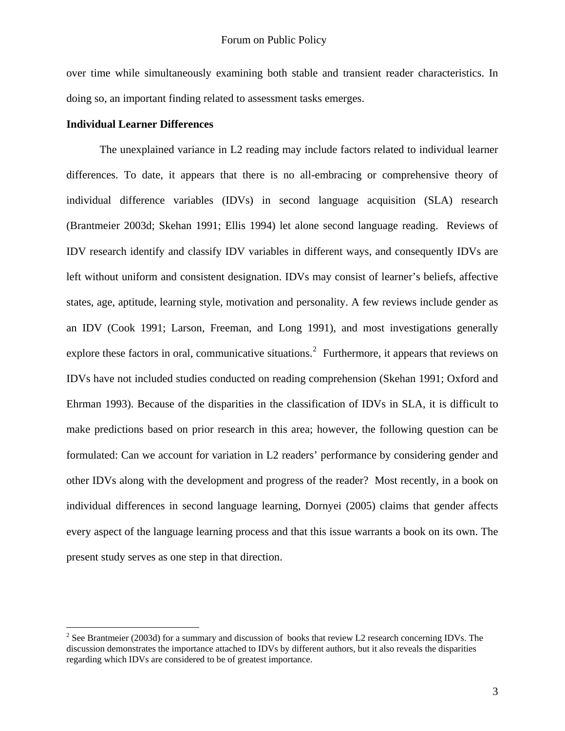over time while simultaneously examining both stable and transient reader characteristics. In doing so, an important finding related to assessment tasks emerges.

## **Individual Learner Differences**

 $\overline{a}$ 

The unexplained variance in L2 reading may include factors related to individual learner differences. To date, it appears that there is no all-embracing or comprehensive theory of individual difference variables (IDVs) in second language acquisition (SLA) research (Brantmeier 2003d; Skehan 1991; Ellis 1994) let alone second language reading. Reviews of IDV research identify and classify IDV variables in different ways, and consequently IDVs are left without uniform and consistent designation. IDVs may consist of learner's beliefs, affective states, age, aptitude, learning style, motivation and personality. A few reviews include gender as an IDV (Cook 1991; Larson, Freeman, and Long 1991), and most investigations generally explore these factors in oral, communicative situations.<sup>[2](#page-2-0)</sup> Furthermore, it appears that reviews on IDVs have not included studies conducted on reading comprehension (Skehan 1991; Oxford and Ehrman 1993). Because of the disparities in the classification of IDVs in SLA, it is difficult to make predictions based on prior research in this area; however, the following question can be formulated: Can we account for variation in L2 readers' performance by considering gender and other IDVs along with the development and progress of the reader? Most recently, in a book on individual differences in second language learning, Dornyei (2005) claims that gender affects every aspect of the language learning process and that this issue warrants a book on its own. The present study serves as one step in that direction.

<span id="page-2-0"></span><sup>&</sup>lt;sup>2</sup> See Brantmeier (2003d) for a summary and discussion of books that review L2 research concerning IDVs. The discussion demonstrates the importance attached to IDVs by different authors, but it also reveals the disparities regarding which IDVs are considered to be of greatest importance.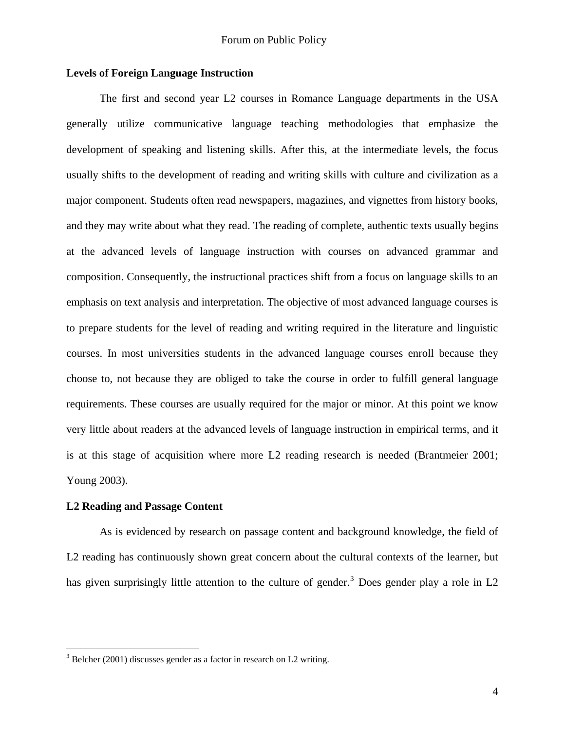## **Levels of Foreign Language Instruction**

The first and second year L2 courses in Romance Language departments in the USA generally utilize communicative language teaching methodologies that emphasize the development of speaking and listening skills. After this, at the intermediate levels, the focus usually shifts to the development of reading and writing skills with culture and civilization as a major component. Students often read newspapers, magazines, and vignettes from history books, and they may write about what they read. The reading of complete, authentic texts usually begins at the advanced levels of language instruction with courses on advanced grammar and composition. Consequently, the instructional practices shift from a focus on language skills to an emphasis on text analysis and interpretation. The objective of most advanced language courses is to prepare students for the level of reading and writing required in the literature and linguistic courses. In most universities students in the advanced language courses enroll because they choose to, not because they are obliged to take the course in order to fulfill general language requirements. These courses are usually required for the major or minor. At this point we know very little about readers at the advanced levels of language instruction in empirical terms, and it is at this stage of acquisition where more L2 reading research is needed (Brantmeier 2001; Young 2003).

#### **L2 Reading and Passage Content**

 $\overline{a}$ 

As is evidenced by research on passage content and background knowledge, the field of L2 reading has continuously shown great concern about the cultural contexts of the learner, but has given surprisingly little attention to the culture of gender.<sup>[3](#page-3-0)</sup> Does gender play a role in L2

<span id="page-3-0"></span> $3$  Belcher (2001) discusses gender as a factor in research on L2 writing.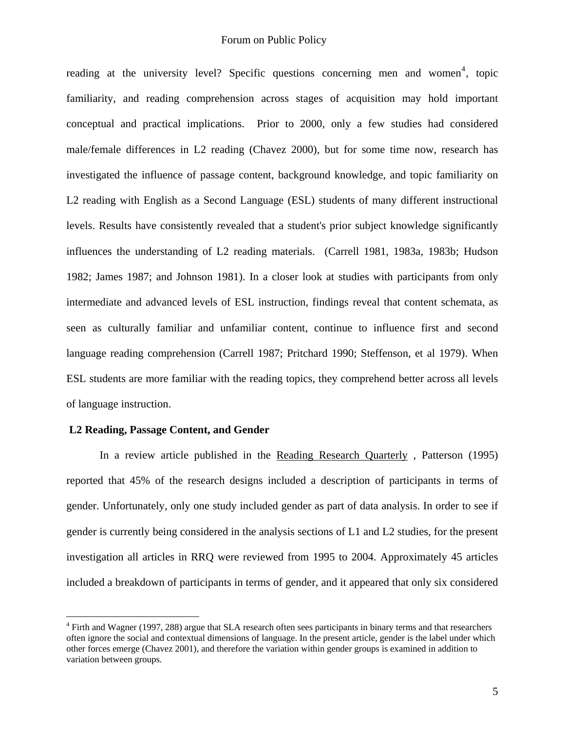reading at the university level? Specific questions concerning men and women<sup>[4](#page-4-0)</sup>, topic familiarity, and reading comprehension across stages of acquisition may hold important conceptual and practical implications. Prior to 2000, only a few studies had considered male/female differences in L2 reading (Chavez 2000), but for some time now, research has investigated the influence of passage content, background knowledge, and topic familiarity on L2 reading with English as a Second Language (ESL) students of many different instructional levels. Results have consistently revealed that a student's prior subject knowledge significantly influences the understanding of L2 reading materials. (Carrell 1981, 1983a, 1983b; Hudson 1982; James 1987; and Johnson 1981). In a closer look at studies with participants from only intermediate and advanced levels of ESL instruction, findings reveal that content schemata, as seen as culturally familiar and unfamiliar content, continue to influence first and second language reading comprehension (Carrell 1987; Pritchard 1990; Steffenson, et al 1979). When ESL students are more familiar with the reading topics, they comprehend better across all levels of language instruction.

## **L2 Reading, Passage Content, and Gender**

 $\overline{a}$ 

In a review article published in the Reading Research Quarterly , Patterson (1995) reported that 45% of the research designs included a description of participants in terms of gender. Unfortunately, only one study included gender as part of data analysis. In order to see if gender is currently being considered in the analysis sections of L1 and L2 studies, for the present investigation all articles in RRQ were reviewed from 1995 to 2004. Approximately 45 articles included a breakdown of participants in terms of gender, and it appeared that only six considered

<span id="page-4-0"></span><sup>&</sup>lt;sup>4</sup> Firth and Wagner (1997, 288) argue that SLA research often sees participants in binary terms and that researchers often ignore the social and contextual dimensions of language. In the present article, gender is the label under which other forces emerge (Chavez 2001), and therefore the variation within gender groups is examined in addition to variation between groups.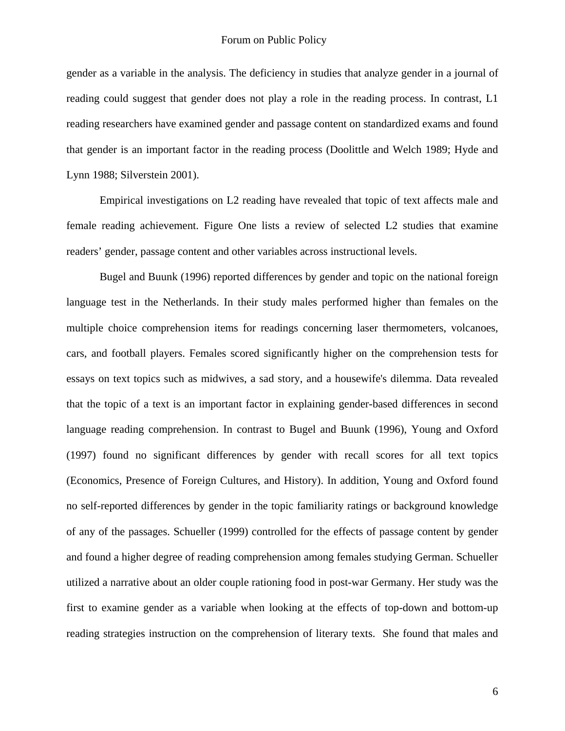gender as a variable in the analysis. The deficiency in studies that analyze gender in a journal of reading could suggest that gender does not play a role in the reading process. In contrast, L1 reading researchers have examined gender and passage content on standardized exams and found that gender is an important factor in the reading process (Doolittle and Welch 1989; Hyde and Lynn 1988; Silverstein 2001).

Empirical investigations on L2 reading have revealed that topic of text affects male and female reading achievement. Figure One lists a review of selected L2 studies that examine readers' gender, passage content and other variables across instructional levels.

Bugel and Buunk (1996) reported differences by gender and topic on the national foreign language test in the Netherlands. In their study males performed higher than females on the multiple choice comprehension items for readings concerning laser thermometers, volcanoes, cars, and football players. Females scored significantly higher on the comprehension tests for essays on text topics such as midwives, a sad story, and a housewife's dilemma. Data revealed that the topic of a text is an important factor in explaining gender-based differences in second language reading comprehension. In contrast to Bugel and Buunk (1996), Young and Oxford (1997) found no significant differences by gender with recall scores for all text topics (Economics, Presence of Foreign Cultures, and History). In addition, Young and Oxford found no self-reported differences by gender in the topic familiarity ratings or background knowledge of any of the passages. Schueller (1999) controlled for the effects of passage content by gender and found a higher degree of reading comprehension among females studying German. Schueller utilized a narrative about an older couple rationing food in post-war Germany. Her study was the first to examine gender as a variable when looking at the effects of top-down and bottom-up reading strategies instruction on the comprehension of literary texts. She found that males and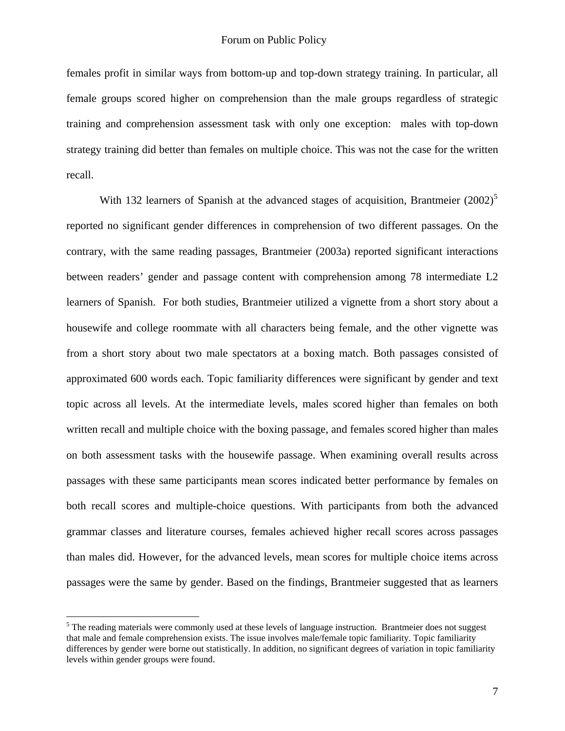females profit in similar ways from bottom-up and top-down strategy training. In particular, all female groups scored higher on comprehension than the male groups regardless of strategic training and comprehension assessment task with only one exception: males with top-down strategy training did better than females on multiple choice. This was not the case for the written recall.

With 132 learners of Spanish at the advanced stages of acquisition, Brantmeier  $(2002)^5$  $(2002)^5$ reported no significant gender differences in comprehension of two different passages. On the contrary, with the same reading passages, Brantmeier (2003a) reported significant interactions between readers' gender and passage content with comprehension among 78 intermediate L2 learners of Spanish. For both studies, Brantmeier utilized a vignette from a short story about a housewife and college roommate with all characters being female, and the other vignette was from a short story about two male spectators at a boxing match. Both passages consisted of approximated 600 words each. Topic familiarity differences were significant by gender and text topic across all levels. At the intermediate levels, males scored higher than females on both written recall and multiple choice with the boxing passage, and females scored higher than males on both assessment tasks with the housewife passage. When examining overall results across passages with these same participants mean scores indicated better performance by females on both recall scores and multiple-choice questions. With participants from both the advanced grammar classes and literature courses, females achieved higher recall scores across passages than males did. However, for the advanced levels, mean scores for multiple choice items across passages were the same by gender. Based on the findings, Brantmeier suggested that as learners

<u>.</u>

<span id="page-6-0"></span> $<sup>5</sup>$  The reading materials were commonly used at these levels of language instruction. Brantmeier does not suggest</sup> that male and female comprehension exists. The issue involves male/female topic familiarity. Topic familiarity differences by gender were borne out statistically. In addition, no significant degrees of variation in topic familiarity levels within gender groups were found.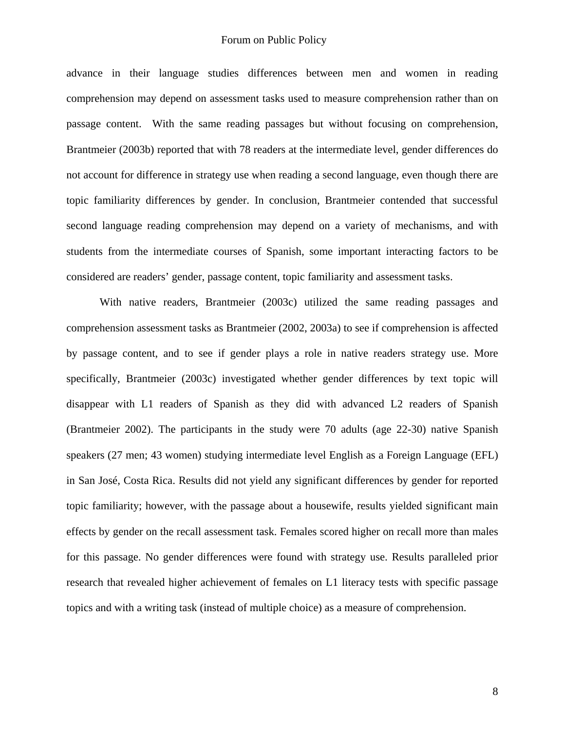advance in their language studies differences between men and women in reading comprehension may depend on assessment tasks used to measure comprehension rather than on passage content. With the same reading passages but without focusing on comprehension, Brantmeier (2003b) reported that with 78 readers at the intermediate level, gender differences do not account for difference in strategy use when reading a second language, even though there are topic familiarity differences by gender. In conclusion, Brantmeier contended that successful second language reading comprehension may depend on a variety of mechanisms, and with students from the intermediate courses of Spanish, some important interacting factors to be considered are readers' gender, passage content, topic familiarity and assessment tasks.

With native readers, Brantmeier (2003c) utilized the same reading passages and comprehension assessment tasks as Brantmeier (2002, 2003a) to see if comprehension is affected by passage content, and to see if gender plays a role in native readers strategy use. More specifically, Brantmeier (2003c) investigated whether gender differences by text topic will disappear with L1 readers of Spanish as they did with advanced L2 readers of Spanish (Brantmeier 2002). The participants in the study were 70 adults (age 22-30) native Spanish speakers (27 men; 43 women) studying intermediate level English as a Foreign Language (EFL) in San José, Costa Rica. Results did not yield any significant differences by gender for reported topic familiarity; however, with the passage about a housewife, results yielded significant main effects by gender on the recall assessment task. Females scored higher on recall more than males for this passage. No gender differences were found with strategy use. Results paralleled prior research that revealed higher achievement of females on L1 literacy tests with specific passage topics and with a writing task (instead of multiple choice) as a measure of comprehension.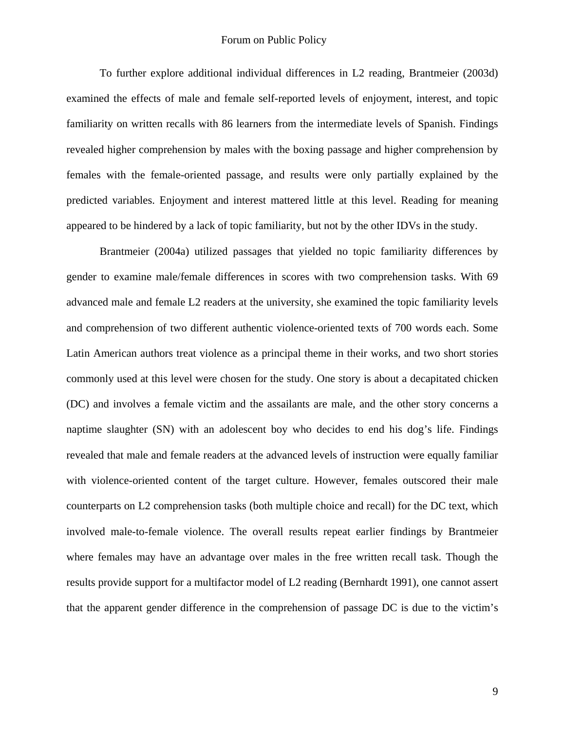### Forum on Public Policy

To further explore additional individual differences in L2 reading, Brantmeier (2003d) examined the effects of male and female self-reported levels of enjoyment, interest, and topic familiarity on written recalls with 86 learners from the intermediate levels of Spanish. Findings revealed higher comprehension by males with the boxing passage and higher comprehension by females with the female-oriented passage, and results were only partially explained by the predicted variables. Enjoyment and interest mattered little at this level. Reading for meaning appeared to be hindered by a lack of topic familiarity, but not by the other IDVs in the study.

Brantmeier (2004a) utilized passages that yielded no topic familiarity differences by gender to examine male/female differences in scores with two comprehension tasks. With 69 advanced male and female L2 readers at the university, she examined the topic familiarity levels and comprehension of two different authentic violence-oriented texts of 700 words each. Some Latin American authors treat violence as a principal theme in their works, and two short stories commonly used at this level were chosen for the study. One story is about a decapitated chicken (DC) and involves a female victim and the assailants are male, and the other story concerns a naptime slaughter (SN) with an adolescent boy who decides to end his dog's life. Findings revealed that male and female readers at the advanced levels of instruction were equally familiar with violence-oriented content of the target culture. However, females outscored their male counterparts on L2 comprehension tasks (both multiple choice and recall) for the DC text, which involved male-to-female violence. The overall results repeat earlier findings by Brantmeier where females may have an advantage over males in the free written recall task. Though the results provide support for a multifactor model of L2 reading (Bernhardt 1991), one cannot assert that the apparent gender difference in the comprehension of passage DC is due to the victim's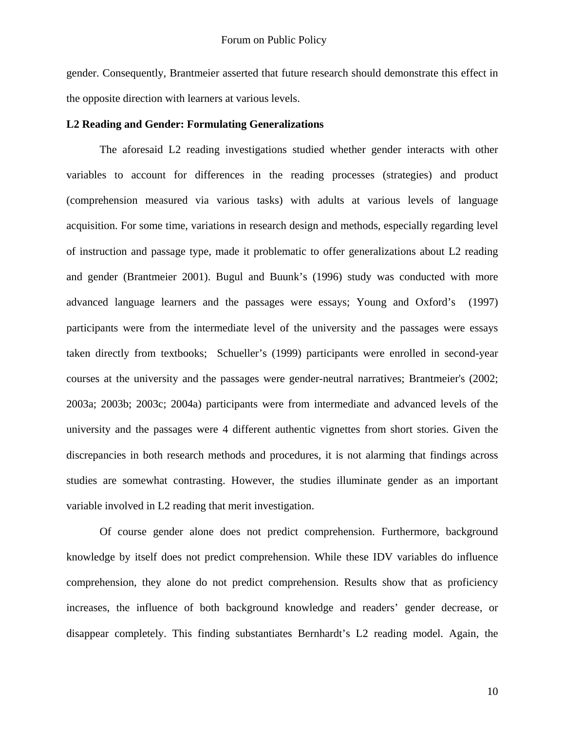gender. Consequently, Brantmeier asserted that future research should demonstrate this effect in the opposite direction with learners at various levels.

#### **L2 Reading and Gender: Formulating Generalizations**

The aforesaid L2 reading investigations studied whether gender interacts with other variables to account for differences in the reading processes (strategies) and product (comprehension measured via various tasks) with adults at various levels of language acquisition. For some time, variations in research design and methods, especially regarding level of instruction and passage type, made it problematic to offer generalizations about L2 reading and gender (Brantmeier 2001). Bugul and Buunk's (1996) study was conducted with more advanced language learners and the passages were essays; Young and Oxford's (1997) participants were from the intermediate level of the university and the passages were essays taken directly from textbooks; Schueller's (1999) participants were enrolled in second-year courses at the university and the passages were gender-neutral narratives; Brantmeier's (2002; 2003a; 2003b; 2003c; 2004a) participants were from intermediate and advanced levels of the university and the passages were 4 different authentic vignettes from short stories. Given the discrepancies in both research methods and procedures, it is not alarming that findings across studies are somewhat contrasting. However, the studies illuminate gender as an important variable involved in L2 reading that merit investigation.

Of course gender alone does not predict comprehension. Furthermore, background knowledge by itself does not predict comprehension. While these IDV variables do influence comprehension, they alone do not predict comprehension. Results show that as proficiency increases, the influence of both background knowledge and readers' gender decrease, or disappear completely. This finding substantiates Bernhardt's L2 reading model. Again, the

10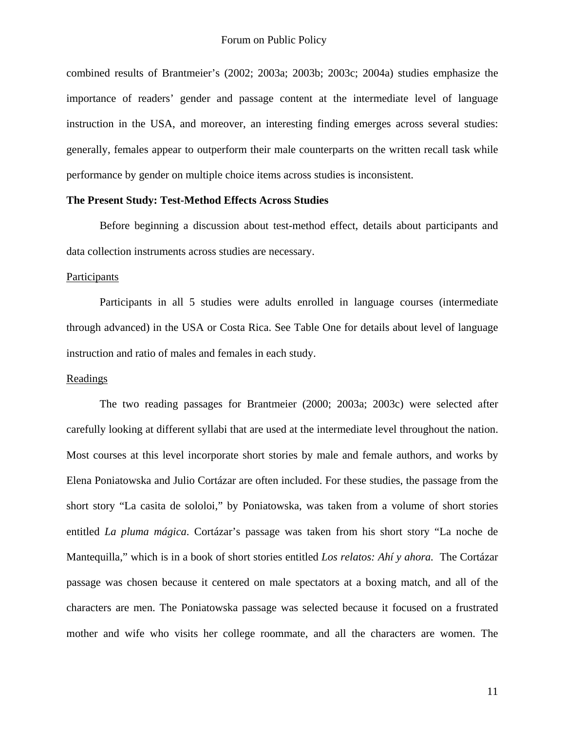combined results of Brantmeier's (2002; 2003a; 2003b; 2003c; 2004a) studies emphasize the importance of readers' gender and passage content at the intermediate level of language instruction in the USA, and moreover, an interesting finding emerges across several studies: generally, females appear to outperform their male counterparts on the written recall task while performance by gender on multiple choice items across studies is inconsistent.

## **The Present Study: Test-Method Effects Across Studies**

Before beginning a discussion about test-method effect, details about participants and data collection instruments across studies are necessary.

### Participants

 Participants in all 5 studies were adults enrolled in language courses (intermediate through advanced) in the USA or Costa Rica. See Table One for details about level of language instruction and ratio of males and females in each study.

#### Readings

The two reading passages for Brantmeier (2000; 2003a; 2003c) were selected after carefully looking at different syllabi that are used at the intermediate level throughout the nation. Most courses at this level incorporate short stories by male and female authors, and works by Elena Poniatowska and Julio Cortázar are often included. For these studies, the passage from the short story "La casita de sololoi," by Poniatowska, was taken from a volume of short stories entitled *La pluma mágica*. Cortázar's passage was taken from his short story "La noche de Mantequilla," which is in a book of short stories entitled *Los relatos: Ahí y ahora.* The Cortázar passage was chosen because it centered on male spectators at a boxing match, and all of the characters are men. The Poniatowska passage was selected because it focused on a frustrated mother and wife who visits her college roommate, and all the characters are women. The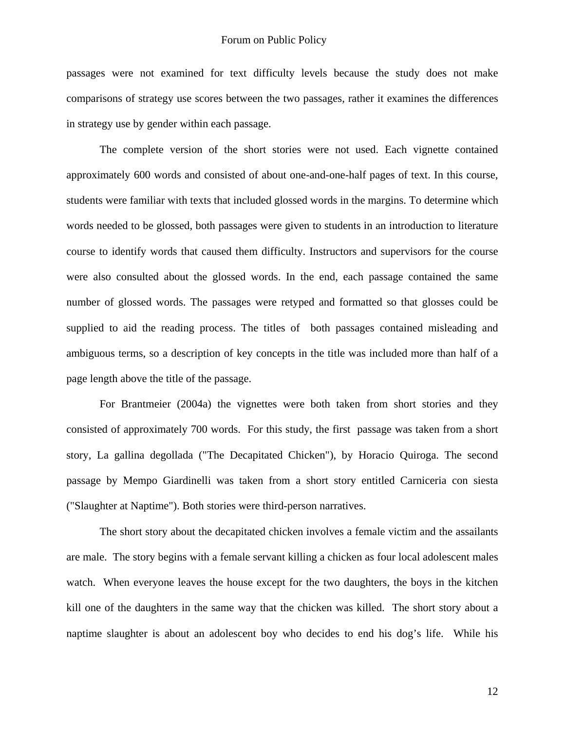passages were not examined for text difficulty levels because the study does not make comparisons of strategy use scores between the two passages, rather it examines the differences in strategy use by gender within each passage.

 The complete version of the short stories were not used. Each vignette contained approximately 600 words and consisted of about one-and-one-half pages of text. In this course, students were familiar with texts that included glossed words in the margins. To determine which words needed to be glossed, both passages were given to students in an introduction to literature course to identify words that caused them difficulty. Instructors and supervisors for the course were also consulted about the glossed words. In the end, each passage contained the same number of glossed words. The passages were retyped and formatted so that glosses could be supplied to aid the reading process. The titles of both passages contained misleading and ambiguous terms, so a description of key concepts in the title was included more than half of a page length above the title of the passage.

For Brantmeier (2004a) the vignettes were both taken from short stories and they consisted of approximately 700 words. For this study, the first passage was taken from a short story, La gallina degollada ("The Decapitated Chicken"), by Horacio Quiroga. The second passage by Mempo Giardinelli was taken from a short story entitled Carniceria con siesta ("Slaughter at Naptime"). Both stories were third-person narratives.

 The short story about the decapitated chicken involves a female victim and the assailants are male. The story begins with a female servant killing a chicken as four local adolescent males watch. When everyone leaves the house except for the two daughters, the boys in the kitchen kill one of the daughters in the same way that the chicken was killed. The short story about a naptime slaughter is about an adolescent boy who decides to end his dog's life. While his

12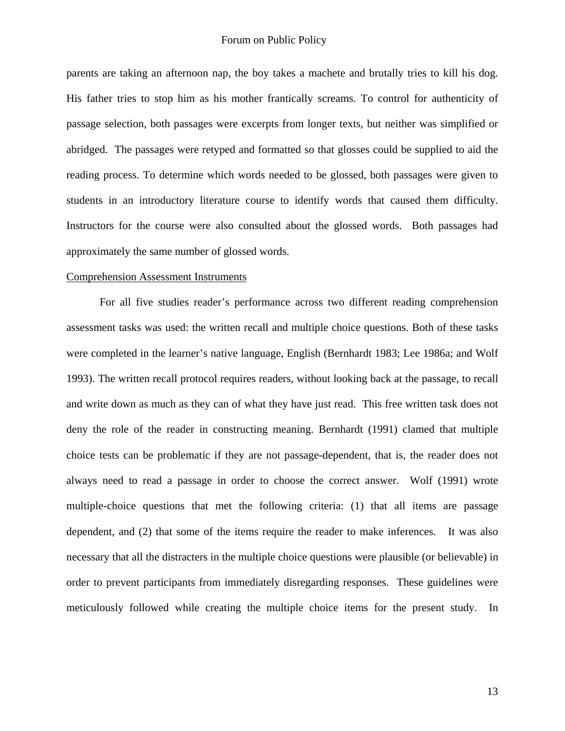parents are taking an afternoon nap, the boy takes a machete and brutally tries to kill his dog. His father tries to stop him as his mother frantically screams. To control for authenticity of passage selection, both passages were excerpts from longer texts, but neither was simplified or abridged. The passages were retyped and formatted so that glosses could be supplied to aid the reading process. To determine which words needed to be glossed, both passages were given to students in an introductory literature course to identify words that caused them difficulty. Instructors for the course were also consulted about the glossed words. Both passages had approximately the same number of glossed words.

#### Comprehension Assessment Instruments

For all five studies reader's performance across two different reading comprehension assessment tasks was used: the written recall and multiple choice questions. Both of these tasks were completed in the learner's native language, English (Bernhardt 1983; Lee 1986a; and Wolf 1993). The written recall protocol requires readers, without looking back at the passage, to recall and write down as much as they can of what they have just read. This free written task does not deny the role of the reader in constructing meaning. Bernhardt (1991) clamed that multiple choice tests can be problematic if they are not passage-dependent, that is, the reader does not always need to read a passage in order to choose the correct answer. Wolf (1991) wrote multiple-choice questions that met the following criteria: (1) that all items are passage dependent, and (2) that some of the items require the reader to make inferences. It was also necessary that all the distracters in the multiple choice questions were plausible (or believable) in order to prevent participants from immediately disregarding responses. These guidelines were meticulously followed while creating the multiple choice items for the present study. In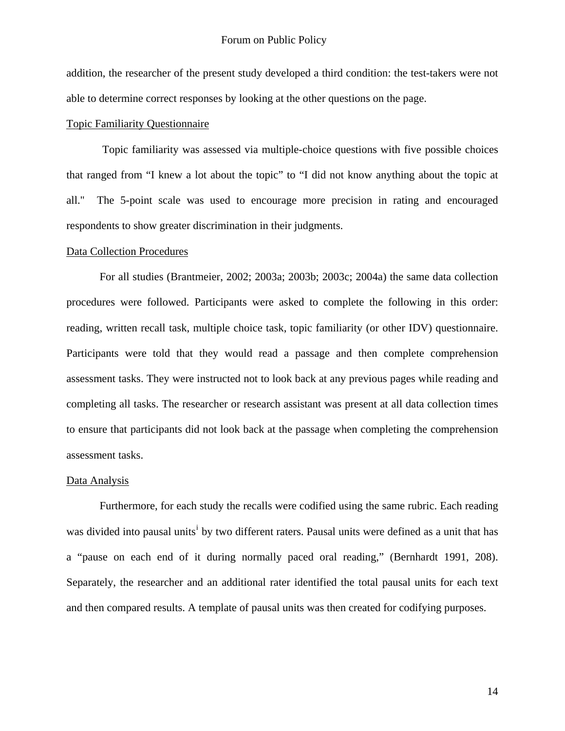addition, the researcher of the present study developed a third condition: the test-takers were not able to determine correct responses by looking at the other questions on the page.

## Topic Familiarity Questionnaire

 Topic familiarity was assessed via multiple-choice questions with five possible choices that ranged from "I knew a lot about the topic" to "I did not know anything about the topic at all." The 5-point scale was used to encourage more precision in rating and encouraged respondents to show greater discrimination in their judgments.

#### Data Collection Procedures

For all studies (Brantmeier, 2002; 2003a; 2003b; 2003c; 2004a) the same data collection procedures were followed. Participants were asked to complete the following in this order: reading, written recall task, multiple choice task, topic familiarity (or other IDV) questionnaire. Participants were told that they would read a passage and then complete comprehension assessment tasks. They were instructed not to look back at any previous pages while reading and completing all tasks. The researcher or research assistant was present at all data collection times to ensure that participants did not look back at the passage when completing the comprehension assessment tasks.

#### Data Analysis

Furthermore, for each study the recalls were codified using the same rubric. Each reading was d[i](#page-35-0)vided into pausal units<sup>i</sup> by two different raters. Pausal units were defined as a unit that has a "pause on each end of it during normally paced oral reading," (Bernhardt 1991, 208). Separately, the researcher and an additional rater identified the total pausal units for each text and then compared results. A template of pausal units was then created for codifying purposes.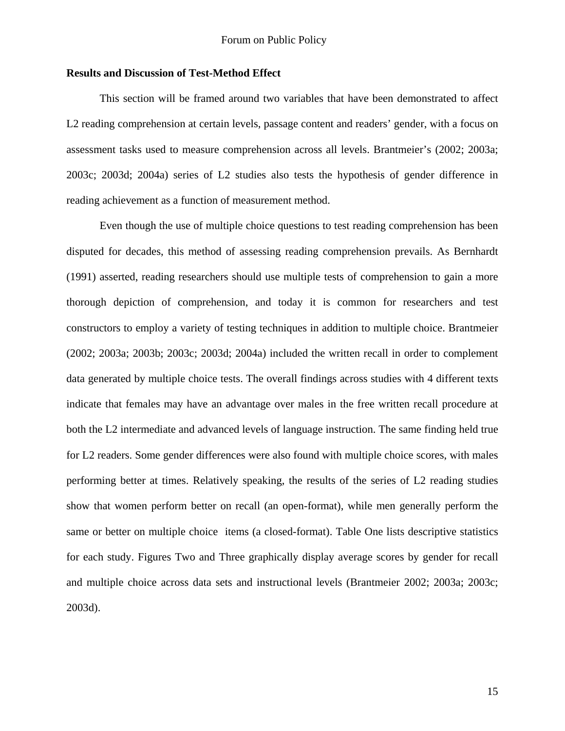### **Results and Discussion of Test-Method Effect**

This section will be framed around two variables that have been demonstrated to affect L2 reading comprehension at certain levels, passage content and readers' gender, with a focus on assessment tasks used to measure comprehension across all levels. Brantmeier's (2002; 2003a; 2003c; 2003d; 2004a) series of L2 studies also tests the hypothesis of gender difference in reading achievement as a function of measurement method.

Even though the use of multiple choice questions to test reading comprehension has been disputed for decades, this method of assessing reading comprehension prevails. As Bernhardt (1991) asserted, reading researchers should use multiple tests of comprehension to gain a more thorough depiction of comprehension, and today it is common for researchers and test constructors to employ a variety of testing techniques in addition to multiple choice. Brantmeier (2002; 2003a; 2003b; 2003c; 2003d; 2004a) included the written recall in order to complement data generated by multiple choice tests. The overall findings across studies with 4 different texts indicate that females may have an advantage over males in the free written recall procedure at both the L2 intermediate and advanced levels of language instruction. The same finding held true for L2 readers. Some gender differences were also found with multiple choice scores, with males performing better at times. Relatively speaking, the results of the series of L2 reading studies show that women perform better on recall (an open-format), while men generally perform the same or better on multiple choice items (a closed-format). Table One lists descriptive statistics for each study. Figures Two and Three graphically display average scores by gender for recall and multiple choice across data sets and instructional levels (Brantmeier 2002; 2003a; 2003c; 2003d).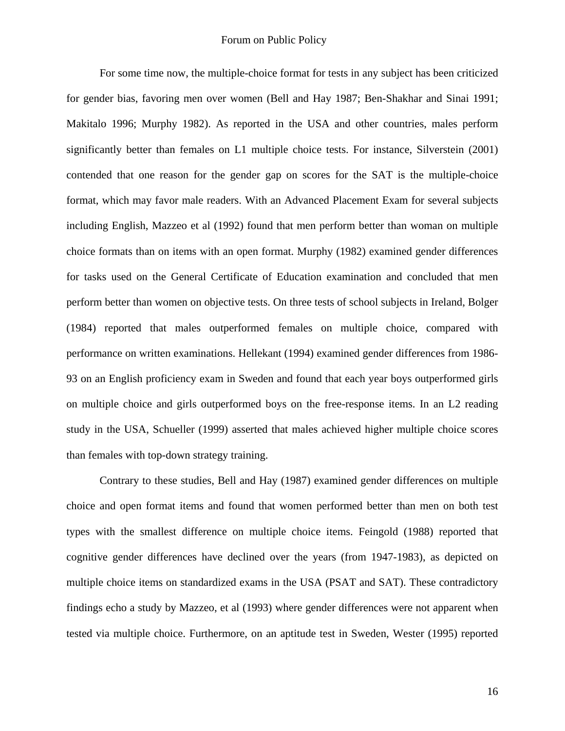For some time now, the multiple-choice format for tests in any subject has been criticized for gender bias, favoring men over women (Bell and Hay 1987; Ben-Shakhar and Sinai 1991; Makitalo 1996; Murphy 1982). As reported in the USA and other countries, males perform significantly better than females on L1 multiple choice tests. For instance, Silverstein (2001) contended that one reason for the gender gap on scores for the SAT is the multiple-choice format, which may favor male readers. With an Advanced Placement Exam for several subjects including English, Mazzeo et al (1992) found that men perform better than woman on multiple choice formats than on items with an open format. Murphy (1982) examined gender differences for tasks used on the General Certificate of Education examination and concluded that men perform better than women on objective tests. On three tests of school subjects in Ireland, Bolger (1984) reported that males outperformed females on multiple choice, compared with performance on written examinations. Hellekant (1994) examined gender differences from 1986- 93 on an English proficiency exam in Sweden and found that each year boys outperformed girls on multiple choice and girls outperformed boys on the free-response items. In an L2 reading study in the USA, Schueller (1999) asserted that males achieved higher multiple choice scores than females with top-down strategy training.

Contrary to these studies, Bell and Hay (1987) examined gender differences on multiple choice and open format items and found that women performed better than men on both test types with the smallest difference on multiple choice items. Feingold (1988) reported that cognitive gender differences have declined over the years (from 1947-1983), as depicted on multiple choice items on standardized exams in the USA (PSAT and SAT). These contradictory findings echo a study by Mazzeo, et al (1993) where gender differences were not apparent when tested via multiple choice. Furthermore, on an aptitude test in Sweden, Wester (1995) reported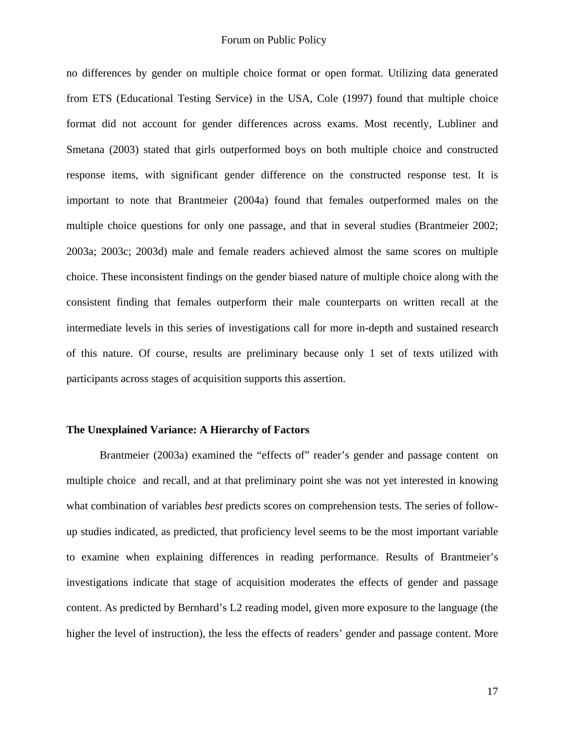no differences by gender on multiple choice format or open format. Utilizing data generated from ETS (Educational Testing Service) in the USA, Cole (1997) found that multiple choice format did not account for gender differences across exams. Most recently, Lubliner and Smetana (2003) stated that girls outperformed boys on both multiple choice and constructed response items, with significant gender difference on the constructed response test. It is important to note that Brantmeier (2004a) found that females outperformed males on the multiple choice questions for only one passage, and that in several studies (Brantmeier 2002; 2003a; 2003c; 2003d) male and female readers achieved almost the same scores on multiple choice. These inconsistent findings on the gender biased nature of multiple choice along with the consistent finding that females outperform their male counterparts on written recall at the intermediate levels in this series of investigations call for more in-depth and sustained research of this nature. Of course, results are preliminary because only 1 set of texts utilized with participants across stages of acquisition supports this assertion.

#### **The Unexplained Variance: A Hierarchy of Factors**

Brantmeier (2003a) examined the "effects of" reader's gender and passage content on multiple choice and recall, and at that preliminary point she was not yet interested in knowing what combination of variables *best* predicts scores on comprehension tests. The series of followup studies indicated, as predicted, that proficiency level seems to be the most important variable to examine when explaining differences in reading performance. Results of Brantmeier's investigations indicate that stage of acquisition moderates the effects of gender and passage content. As predicted by Bernhard's L2 reading model, given more exposure to the language (the higher the level of instruction), the less the effects of readers' gender and passage content. More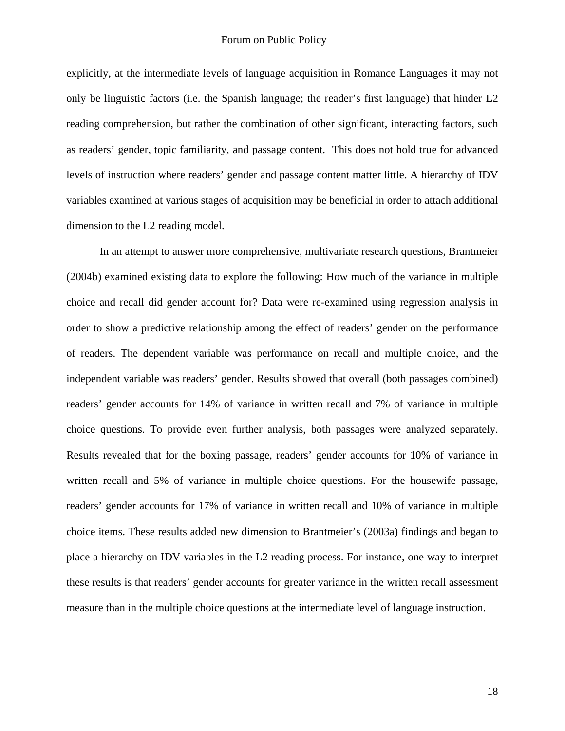explicitly, at the intermediate levels of language acquisition in Romance Languages it may not only be linguistic factors (i.e. the Spanish language; the reader's first language) that hinder L2 reading comprehension, but rather the combination of other significant, interacting factors, such as readers' gender, topic familiarity, and passage content. This does not hold true for advanced levels of instruction where readers' gender and passage content matter little. A hierarchy of IDV variables examined at various stages of acquisition may be beneficial in order to attach additional dimension to the L2 reading model.

In an attempt to answer more comprehensive, multivariate research questions, Brantmeier (2004b) examined existing data to explore the following: How much of the variance in multiple choice and recall did gender account for? Data were re-examined using regression analysis in order to show a predictive relationship among the effect of readers' gender on the performance of readers. The dependent variable was performance on recall and multiple choice, and the independent variable was readers' gender. Results showed that overall (both passages combined) readers' gender accounts for 14% of variance in written recall and 7% of variance in multiple choice questions. To provide even further analysis, both passages were analyzed separately. Results revealed that for the boxing passage, readers' gender accounts for 10% of variance in written recall and 5% of variance in multiple choice questions. For the housewife passage, readers' gender accounts for 17% of variance in written recall and 10% of variance in multiple choice items. These results added new dimension to Brantmeier's (2003a) findings and began to place a hierarchy on IDV variables in the L2 reading process. For instance, one way to interpret these results is that readers' gender accounts for greater variance in the written recall assessment measure than in the multiple choice questions at the intermediate level of language instruction.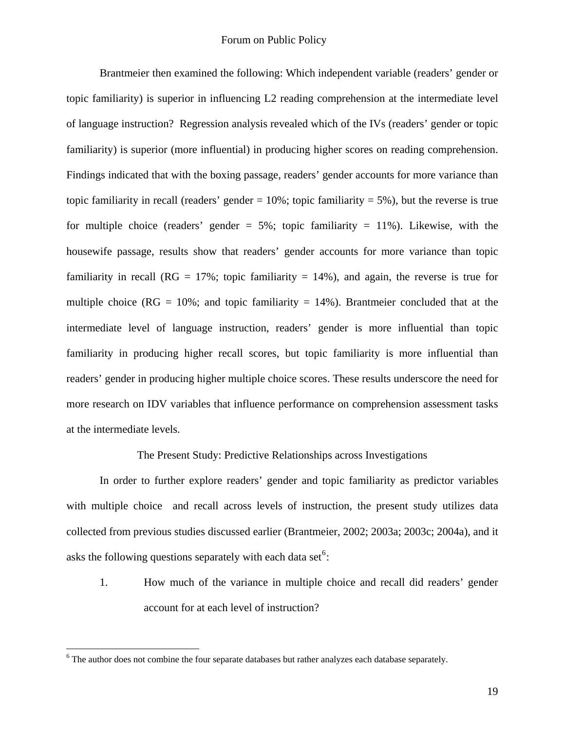Brantmeier then examined the following: Which independent variable (readers' gender or topic familiarity) is superior in influencing L2 reading comprehension at the intermediate level of language instruction? Regression analysis revealed which of the IVs (readers' gender or topic familiarity) is superior (more influential) in producing higher scores on reading comprehension. Findings indicated that with the boxing passage, readers' gender accounts for more variance than topic familiarity in recall (readers' gender  $= 10\%$ ; topic familiarity  $= 5\%$ ), but the reverse is true for multiple choice (readers' gender  $= 5\%$ ; topic familiarity  $= 11\%$ ). Likewise, with the housewife passage, results show that readers' gender accounts for more variance than topic familiarity in recall ( $RG = 17\%$ ; topic familiarity = 14%), and again, the reverse is true for multiple choice ( $RG = 10\%$ ; and topic familiarity  $= 14\%$ ). Brantmeier concluded that at the intermediate level of language instruction, readers' gender is more influential than topic familiarity in producing higher recall scores, but topic familiarity is more influential than readers' gender in producing higher multiple choice scores. These results underscore the need for more research on IDV variables that influence performance on comprehension assessment tasks at the intermediate levels.

The Present Study: Predictive Relationships across Investigations

In order to further explore readers' gender and topic familiarity as predictor variables with multiple choice and recall across levels of instruction, the present study utilizes data collected from previous studies discussed earlier (Brantmeier, 2002; 2003a; 2003c; 2004a), and it asks the following questions separately with each data set $6$ :

1. How much of the variance in multiple choice and recall did readers' gender account for at each level of instruction?

 $\overline{a}$ 

<span id="page-18-0"></span> $6$  The author does not combine the four separate databases but rather analyzes each database separately.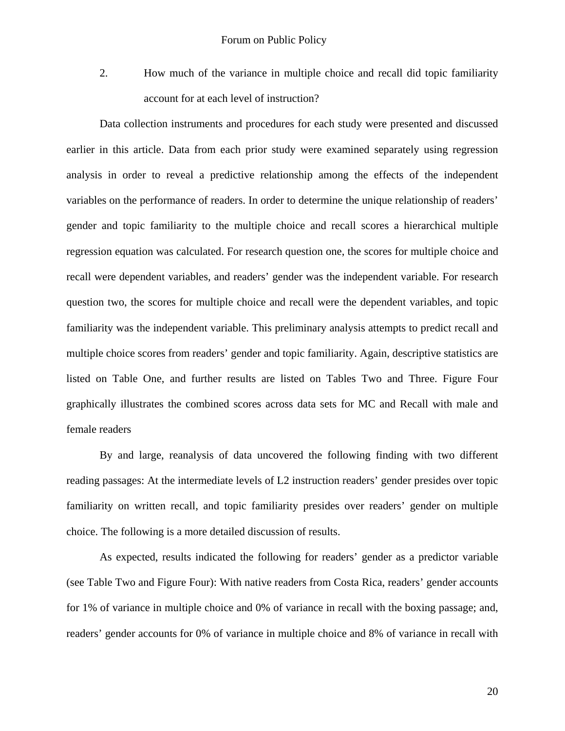2. How much of the variance in multiple choice and recall did topic familiarity account for at each level of instruction?

Data collection instruments and procedures for each study were presented and discussed earlier in this article. Data from each prior study were examined separately using regression analysis in order to reveal a predictive relationship among the effects of the independent variables on the performance of readers. In order to determine the unique relationship of readers' gender and topic familiarity to the multiple choice and recall scores a hierarchical multiple regression equation was calculated. For research question one, the scores for multiple choice and recall were dependent variables, and readers' gender was the independent variable. For research question two, the scores for multiple choice and recall were the dependent variables, and topic familiarity was the independent variable. This preliminary analysis attempts to predict recall and multiple choice scores from readers' gender and topic familiarity. Again, descriptive statistics are listed on Table One, and further results are listed on Tables Two and Three. Figure Four graphically illustrates the combined scores across data sets for MC and Recall with male and female readers

By and large, reanalysis of data uncovered the following finding with two different reading passages: At the intermediate levels of L2 instruction readers' gender presides over topic familiarity on written recall, and topic familiarity presides over readers' gender on multiple choice. The following is a more detailed discussion of results.

As expected, results indicated the following for readers' gender as a predictor variable (see Table Two and Figure Four): With native readers from Costa Rica, readers' gender accounts for 1% of variance in multiple choice and 0% of variance in recall with the boxing passage; and, readers' gender accounts for 0% of variance in multiple choice and 8% of variance in recall with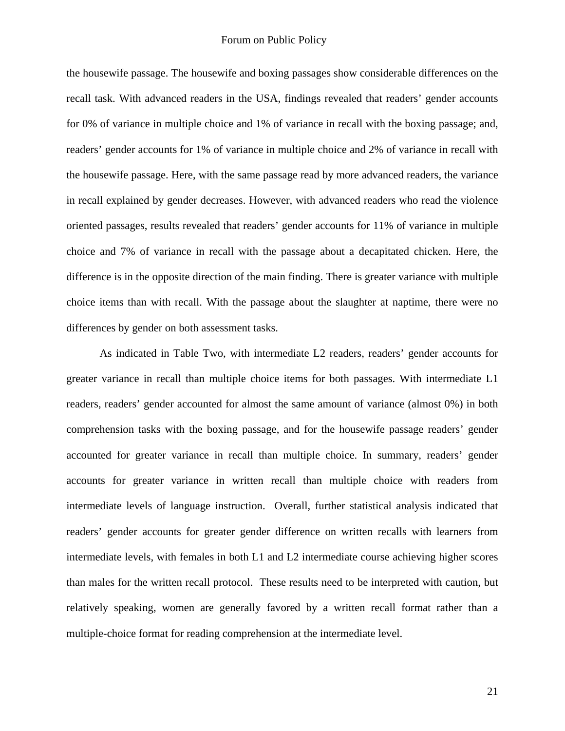the housewife passage. The housewife and boxing passages show considerable differences on the recall task. With advanced readers in the USA, findings revealed that readers' gender accounts for 0% of variance in multiple choice and 1% of variance in recall with the boxing passage; and, readers' gender accounts for 1% of variance in multiple choice and 2% of variance in recall with the housewife passage. Here, with the same passage read by more advanced readers, the variance in recall explained by gender decreases. However, with advanced readers who read the violence oriented passages, results revealed that readers' gender accounts for 11% of variance in multiple choice and 7% of variance in recall with the passage about a decapitated chicken. Here, the difference is in the opposite direction of the main finding. There is greater variance with multiple choice items than with recall. With the passage about the slaughter at naptime, there were no differences by gender on both assessment tasks.

 As indicated in Table Two, with intermediate L2 readers, readers' gender accounts for greater variance in recall than multiple choice items for both passages. With intermediate L1 readers, readers' gender accounted for almost the same amount of variance (almost 0%) in both comprehension tasks with the boxing passage, and for the housewife passage readers' gender accounted for greater variance in recall than multiple choice. In summary, readers' gender accounts for greater variance in written recall than multiple choice with readers from intermediate levels of language instruction. Overall, further statistical analysis indicated that readers' gender accounts for greater gender difference on written recalls with learners from intermediate levels, with females in both L1 and L2 intermediate course achieving higher scores than males for the written recall protocol. These results need to be interpreted with caution, but relatively speaking, women are generally favored by a written recall format rather than a multiple-choice format for reading comprehension at the intermediate level.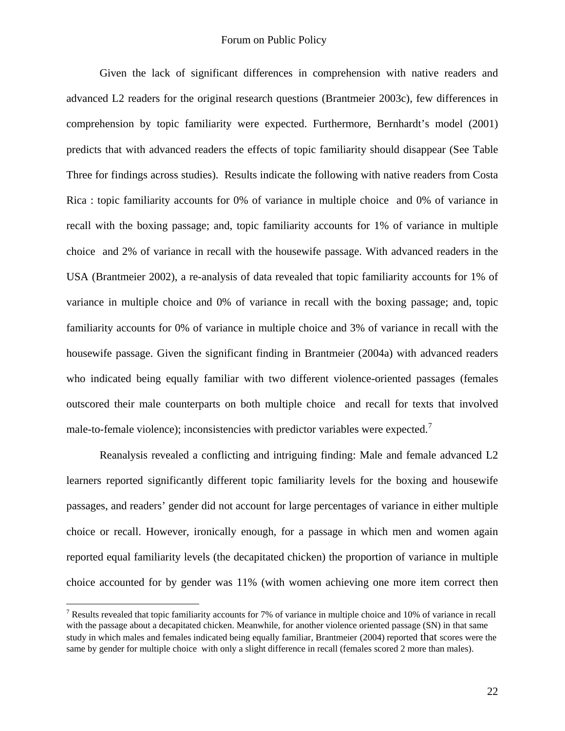Given the lack of significant differences in comprehension with native readers and advanced L2 readers for the original research questions (Brantmeier 2003c), few differences in comprehension by topic familiarity were expected. Furthermore, Bernhardt's model (2001) predicts that with advanced readers the effects of topic familiarity should disappear (See Table Three for findings across studies). Results indicate the following with native readers from Costa Rica : topic familiarity accounts for 0% of variance in multiple choice and 0% of variance in recall with the boxing passage; and, topic familiarity accounts for 1% of variance in multiple choice and 2% of variance in recall with the housewife passage. With advanced readers in the USA (Brantmeier 2002), a re-analysis of data revealed that topic familiarity accounts for 1% of variance in multiple choice and 0% of variance in recall with the boxing passage; and, topic familiarity accounts for 0% of variance in multiple choice and 3% of variance in recall with the housewife passage. Given the significant finding in Brantmeier (2004a) with advanced readers who indicated being equally familiar with two different violence-oriented passages (females outscored their male counterparts on both multiple choice and recall for texts that involved male-to-female violence); inconsistencies with predictor variables were expected.<sup>[7](#page-21-0)</sup>

Reanalysis revealed a conflicting and intriguing finding: Male and female advanced L2 learners reported significantly different topic familiarity levels for the boxing and housewife passages, and readers' gender did not account for large percentages of variance in either multiple choice or recall. However, ironically enough, for a passage in which men and women again reported equal familiarity levels (the decapitated chicken) the proportion of variance in multiple choice accounted for by gender was 11% (with women achieving one more item correct then

1

<span id="page-21-0"></span><sup>&</sup>lt;sup>7</sup> Results revealed that topic familiarity accounts for 7% of variance in multiple choice and 10% of variance in recall with the passage about a decapitated chicken. Meanwhile, for another violence oriented passage (SN) in that same study in which males and females indicated being equally familiar, Brantmeier (2004) reported that scores were the same by gender for multiple choice with only a slight difference in recall (females scored 2 more than males).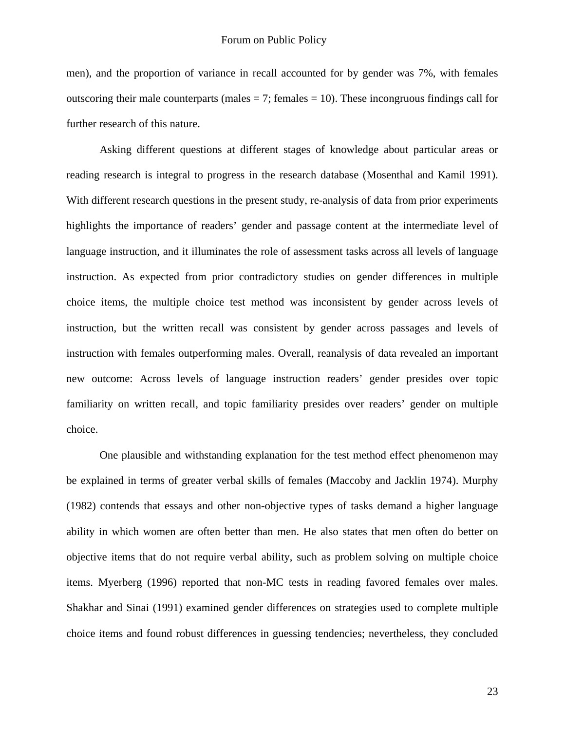men), and the proportion of variance in recall accounted for by gender was 7%, with females outscoring their male counterparts (males  $= 7$ ; females  $= 10$ ). These incongruous findings call for further research of this nature.

Asking different questions at different stages of knowledge about particular areas or reading research is integral to progress in the research database (Mosenthal and Kamil 1991). With different research questions in the present study, re-analysis of data from prior experiments highlights the importance of readers' gender and passage content at the intermediate level of language instruction, and it illuminates the role of assessment tasks across all levels of language instruction. As expected from prior contradictory studies on gender differences in multiple choice items, the multiple choice test method was inconsistent by gender across levels of instruction, but the written recall was consistent by gender across passages and levels of instruction with females outperforming males. Overall, reanalysis of data revealed an important new outcome: Across levels of language instruction readers' gender presides over topic familiarity on written recall, and topic familiarity presides over readers' gender on multiple choice.

One plausible and withstanding explanation for the test method effect phenomenon may be explained in terms of greater verbal skills of females (Maccoby and Jacklin 1974). Murphy (1982) contends that essays and other non-objective types of tasks demand a higher language ability in which women are often better than men. He also states that men often do better on objective items that do not require verbal ability, such as problem solving on multiple choice items. Myerberg (1996) reported that non-MC tests in reading favored females over males. Shakhar and Sinai (1991) examined gender differences on strategies used to complete multiple choice items and found robust differences in guessing tendencies; nevertheless, they concluded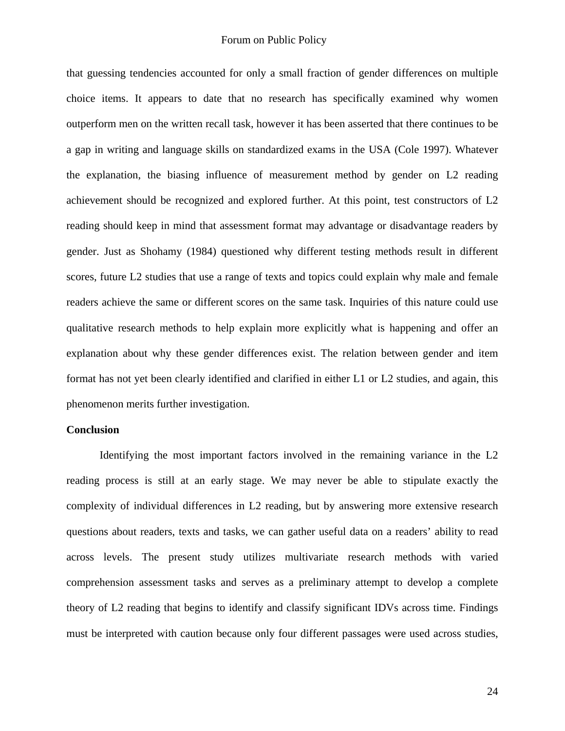that guessing tendencies accounted for only a small fraction of gender differences on multiple choice items. It appears to date that no research has specifically examined why women outperform men on the written recall task, however it has been asserted that there continues to be a gap in writing and language skills on standardized exams in the USA (Cole 1997). Whatever the explanation, the biasing influence of measurement method by gender on L2 reading achievement should be recognized and explored further. At this point, test constructors of L2 reading should keep in mind that assessment format may advantage or disadvantage readers by gender. Just as Shohamy (1984) questioned why different testing methods result in different scores, future L2 studies that use a range of texts and topics could explain why male and female readers achieve the same or different scores on the same task. Inquiries of this nature could use qualitative research methods to help explain more explicitly what is happening and offer an explanation about why these gender differences exist. The relation between gender and item format has not yet been clearly identified and clarified in either L1 or L2 studies, and again, this phenomenon merits further investigation.

#### **Conclusion**

Identifying the most important factors involved in the remaining variance in the L2 reading process is still at an early stage. We may never be able to stipulate exactly the complexity of individual differences in L2 reading, but by answering more extensive research questions about readers, texts and tasks, we can gather useful data on a readers' ability to read across levels. The present study utilizes multivariate research methods with varied comprehension assessment tasks and serves as a preliminary attempt to develop a complete theory of L2 reading that begins to identify and classify significant IDVs across time. Findings must be interpreted with caution because only four different passages were used across studies,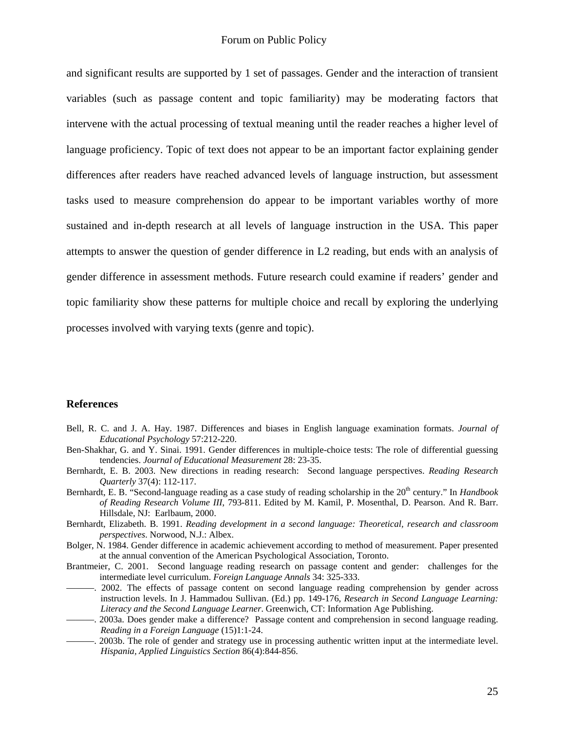and significant results are supported by 1 set of passages. Gender and the interaction of transient variables (such as passage content and topic familiarity) may be moderating factors that intervene with the actual processing of textual meaning until the reader reaches a higher level of language proficiency. Topic of text does not appear to be an important factor explaining gender differences after readers have reached advanced levels of language instruction, but assessment tasks used to measure comprehension do appear to be important variables worthy of more sustained and in-depth research at all levels of language instruction in the USA. This paper attempts to answer the question of gender difference in L2 reading, but ends with an analysis of gender difference in assessment methods. Future research could examine if readers' gender and topic familiarity show these patterns for multiple choice and recall by exploring the underlying processes involved with varying texts (genre and topic).

## **References**

- Bell, R. C. and J. A. Hay. 1987. Differences and biases in English language examination formats. *Journal of Educational Psychology* 57:212-220.
- Ben-Shakhar, G. and Y. Sinai. 1991. Gender differences in multiple-choice tests: The role of differential guessing tendencies. *Journal of Educational Measurement* 28: 23-35.
- Bernhardt, E. B. 2003. New directions in reading research: Second language perspectives. *Reading Research Quarterly* 37(4): 112-117.
- Bernhardt, E. B. "Second-language reading as a case study of reading scholarship in the 20th century." In *Handbook of Reading Research Volume III*, 793-811. Edited by M. Kamil, P. Mosenthal, D. Pearson. And R. Barr. Hillsdale, NJ: Earlbaum, 2000.
- Bernhardt, Elizabeth. B. 1991. *Reading development in a second language: Theoretical, research and classroom perspectives*. Norwood, N.J.: Albex.
- Bolger, N. 1984. Gender difference in academic achievement according to method of measurement. Paper presented at the annual convention of the American Psychological Association, Toronto.
- Brantmeier, C. 2001. Second language reading research on passage content and gender: challenges for the intermediate level curriculum. *Foreign Language Annals* 34: 325-333.
- ———. 2002. The effects of passage content on second language reading comprehension by gender across instruction levels. In J. Hammadou Sullivan. (Ed.) pp. 149-176, *Research in Second Language Learning: Literacy and the Second Language Learner*. Greenwich, CT: Information Age Publishing.
- ———. 2003a. Does gender make a difference? Passage content and comprehension in second language reading. *Reading in a Foreign Language* (15)1:1-24.
- ———. 2003b. The role of gender and strategy use in processing authentic written input at the intermediate level. *Hispania, Applied Linguistics Section* 86(4):844-856.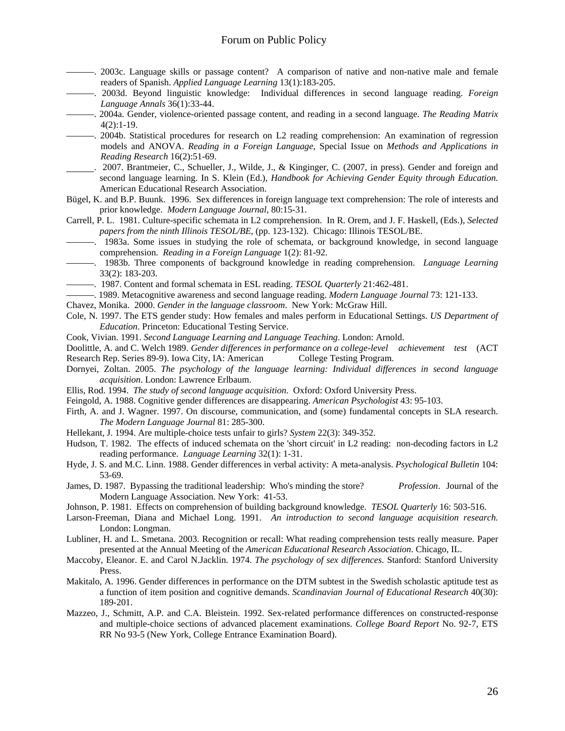- ———. 2003c. Language skills or passage content? A comparison of native and non-native male and female readers of Spanish. *Applied Language Learning* 13(1):183-205.
- ———. 2003d. Beyond linguistic knowledge: Individual differences in second language reading. *Foreign Language Annals* 36(1):33-44.
- ———. 2004a. Gender, violence-oriented passage content, and reading in a second language. *The Reading Matrix* 4(2):1-19.
- ———. 2004b. Statistical procedures for research on L2 reading comprehension: An examination of regression models and ANOVA. *Reading in a Foreign Language*, Special Issue on *Methods and Applications in Reading Research* 16(2):51-69.
- . 2007. Brantmeier, C., Schueller, J., Wilde, J., & Kinginger, C. (2007, in press). Gender and foreign and second language learning. In S. Klein (Ed.), *Handbook for Achieving Gender Equity through Education.*  American Educational Research Association.
- Bügel, K. and B.P. Buunk. 1996. Sex differences in foreign language text comprehension: The role of interests and prior knowledge. *Modern Language Journal*, 80:15-31.
- Carrell, P. L. 1981. Culture-specific schemata in L2 comprehension. In R. Orem, and J. F. Haskell, (Eds.), *Selected papers from the ninth Illinois TESOL/BE*, (pp. 123-132). Chicago: Illinois TESOL/BE.
- ———. 1983a. Some issues in studying the role of schemata, or background knowledge, in second language comprehension. *Reading in a Foreign Language* 1(2): 81-92.
- ———. 1983b. Three components of background knowledge in reading comprehension. *Language Learning*  33(2): 183-203.
- ———. 1987. Content and formal schemata in ESL reading. *TESOL Quarterly* 21:462-481.
- ———. 1989. Metacognitive awareness and second language reading. *Modern Language Journal* 73: 121-133.
- Chavez, Monika. 2000. *Gender in the language classroom*. New York: McGraw Hill.
- Cole, N. 1997. The ETS gender study: How females and males perform in Educational Settings. *US Department of Education*. Princeton: Educational Testing Service.
- Cook, Vivian. 1991. *Second Language Learning and Language Teaching*. London: Arnold.
- Doolittle, A. and C. Welch 1989. *Gender differences in performance on a college-level achievement test* (ACT Research Rep. Series 89-9). Iowa City, IA: American College Testing Program.
- Dornyei, Zoltan. 2005. *The psychology of the language learning: Individual differences in second language acquisition*. London: Lawrence Erlbaum.
- Ellis, Rod. 1994. *The study of second language acquisition*. Oxford: Oxford University Press.
- Feingold, A. 1988. Cognitive gender differences are disappearing. *American Psychologist* 43: 95-103.
- Firth, A. and J. Wagner. 1997. On discourse, communication, and (some) fundamental concepts in SLA research. *The Modern Language Journal* 81: 285-300.
- Hellekant, J. 1994. Are multiple-choice tests unfair to girls? *System* 22(3): 349-352.
- Hudson, T. 1982. The effects of induced schemata on the 'short circuit' in L2 reading: non-decoding factors in L2 reading performance. *Language Learning* 32(1): 1-31.
- Hyde, J. S. and M.C. Linn. 1988. Gender differences in verbal activity: A meta-analysis. *Psychological Bulletin* 104: 53-69.
- James, D. 1987. Bypassing the traditional leadership: Who's minding the store? *Profession*. Journal of the Modern Language Association. New York: 41-53.
- Johnson, P. 1981. Effects on comprehension of building background knowledge. *TESOL Quarterly* 16: 503-516.
- Larson-Freeman, Diana and Michael Long. 1991. *An introduction to second language acquisition research.* London: Longman.
- Lubliner, H. and L. Smetana. 2003. Recognition or recall: What reading comprehension tests really measure. Paper presented at the Annual Meeting of the *American Educational Research Association*. Chicago, IL.
- Maccoby, Eleanor. E. and Carol N.Jacklin. 1974. *The psychology of sex differences*. Stanford: Stanford University Press.
- Makitalo, A. 1996. Gender differences in performance on the DTM subtest in the Swedish scholastic aptitude test as a function of item position and cognitive demands. *Scandinavian Journal of Educational Research* 40(30): 189-201.
- Mazzeo, J., Schmitt, A.P. and C.A. Bleistein. 1992. Sex-related performance differences on constructed-response and multiple-choice sections of advanced placement examinations. *College Board Report* No. 92-7, ETS RR No 93-5 (New York, College Entrance Examination Board).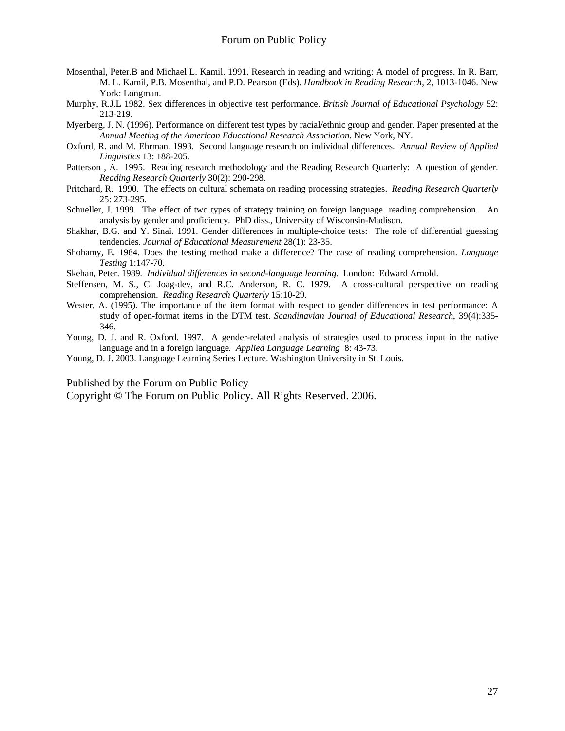- Mosenthal, Peter.B and Michael L. Kamil. 1991. Research in reading and writing: A model of progress. In R. Barr, M. L. Kamil, P.B. Mosenthal, and P.D. Pearson (Eds). *Handbook in Reading Research*, 2, 1013-1046. New York: Longman.
- Murphy, R.J.L 1982. Sex differences in objective test performance. *British Journal of Educational Psychology* 52: 213-219.
- Myerberg, J. N. (1996). Performance on different test types by racial/ethnic group and gender. Paper presented at the *Annual Meeting of the American Educational Research Association.* New York, NY.
- Oxford, R. and M. Ehrman. 1993. Second language research on individual differences. *Annual Review of Applied Linguistics* 13: 188-205.
- Patterson , A. 1995. Reading research methodology and the Reading Research Quarterly: A question of gender. *Reading Research Quarterly* 30(2): 290-298.
- Pritchard, R. 1990. The effects on cultural schemata on reading processing strategies. *Reading Research Quarterly* 25: 273-295.
- Schueller, J. 1999. The effect of two types of strategy training on foreign language reading comprehension. An analysis by gender and proficiency*.* PhD diss., University of Wisconsin-Madison.
- Shakhar, B.G. and Y. Sinai. 1991. Gender differences in multiple-choice tests: The role of differential guessing tendencies. *Journal of Educational Measurement* 28(1): 23-35.
- Shohamy, E. 1984. Does the testing method make a difference? The case of reading comprehension. *Language Testing* 1:147-70.
- Skehan, Peter. 1989*. Individual differences in second-language learning.* London: Edward Arnold.
- Steffensen, M. S., C. Joag-dev, and R.C. Anderson, R. C. 1979. A cross-cultural perspective on reading comprehension. *Reading Research Quarterly* 15:10-29.
- Wester, A. (1995). The importance of the item format with respect to gender differences in test performance: A study of open-format items in the DTM test. *Scandinavian Journal of Educational Research*, 39(4):335- 346.
- Young, D. J. and R. Oxford. 1997. A gender-related analysis of strategies used to process input in the native language and in a foreign language*. Applied Language Learning* 8: 43-73.
- Young, D. J. 2003. Language Learning Series Lecture. Washington University in St. Louis.

Published by the Forum on Public Policy

Copyright © The Forum on Public Policy. All Rights Reserved. 2006.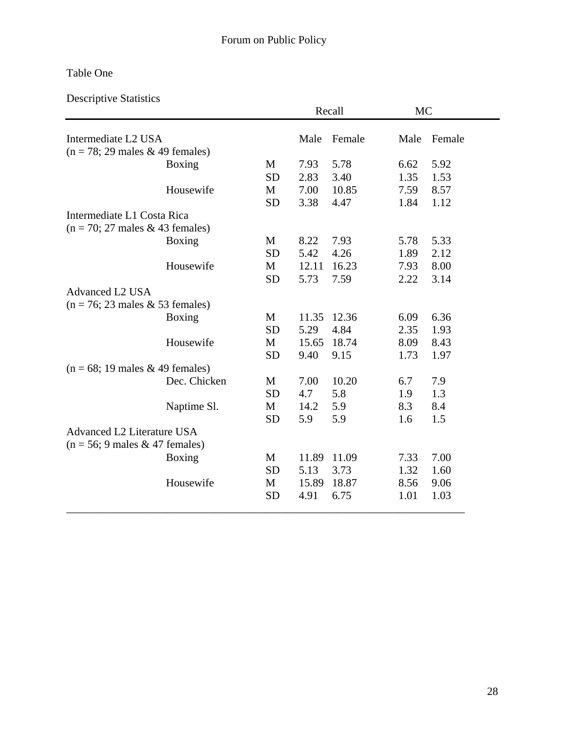# Table One

Descriptive Statistics

|                                                    |           |       | Recall | <b>MC</b> |        |
|----------------------------------------------------|-----------|-------|--------|-----------|--------|
| Intermediate L2 USA                                |           | Male  | Female | Male      | Female |
| $(n = 78; 29 \text{ males} \& 49 \text{ females})$ |           |       |        |           |        |
| Boxing                                             | M         | 7.93  | 5.78   | 6.62      | 5.92   |
|                                                    | <b>SD</b> | 2.83  | 3.40   | 1.35      | 1.53   |
| Housewife                                          | M         | 7.00  | 10.85  | 7.59      | 8.57   |
|                                                    | <b>SD</b> | 3.38  | 4.47   | 1.84      | 1.12   |
| Intermediate L1 Costa Rica                         |           |       |        |           |        |
| $(n = 70; 27$ males & 43 females)                  |           |       |        |           |        |
| Boxing                                             | M         | 8.22  | 7.93   | 5.78      | 5.33   |
|                                                    | <b>SD</b> | 5.42  | 4.26   | 1.89      | 2.12   |
| Housewife                                          | M         | 12.11 | 16.23  | 7.93      | 8.00   |
|                                                    | <b>SD</b> | 5.73  | 7.59   | 2.22      | 3.14   |
| <b>Advanced L2 USA</b>                             |           |       |        |           |        |
| $(n = 76; 23 \text{ males} \& 53 \text{ females})$ |           |       |        |           |        |
| <b>Boxing</b>                                      | M         | 11.35 | 12.36  | 6.09      | 6.36   |
|                                                    | <b>SD</b> | 5.29  | 4.84   | 2.35      | 1.93   |
| Housewife                                          | M         | 15.65 | 18.74  | 8.09      | 8.43   |
|                                                    | <b>SD</b> | 9.40  | 9.15   | 1.73      | 1.97   |
| $(n = 68; 19 \text{ males} \& 49 \text{ females})$ |           |       |        |           |        |
| Dec. Chicken                                       | M         | 7.00  | 10.20  | 6.7       | 7.9    |
|                                                    | <b>SD</b> | 4.7   | 5.8    | 1.9       | 1.3    |
| Naptime Sl.                                        | M         | 14.2  | 5.9    | 8.3       | 8.4    |
|                                                    | <b>SD</b> | 5.9   | 5.9    | 1.6       | 1.5    |
| Advanced L2 Literature USA                         |           |       |        |           |        |
| $(n = 56; 9 \text{ males} \& 47 \text{ females})$  |           |       |        |           |        |
| Boxing                                             | M         | 11.89 | 11.09  | 7.33      | 7.00   |
|                                                    | <b>SD</b> | 5.13  | 3.73   | 1.32      | 1.60   |
| Housewife                                          | M         | 15.89 | 18.87  | 8.56      | 9.06   |
|                                                    | <b>SD</b> | 4.91  | 6.75   | 1.01      | 1.03   |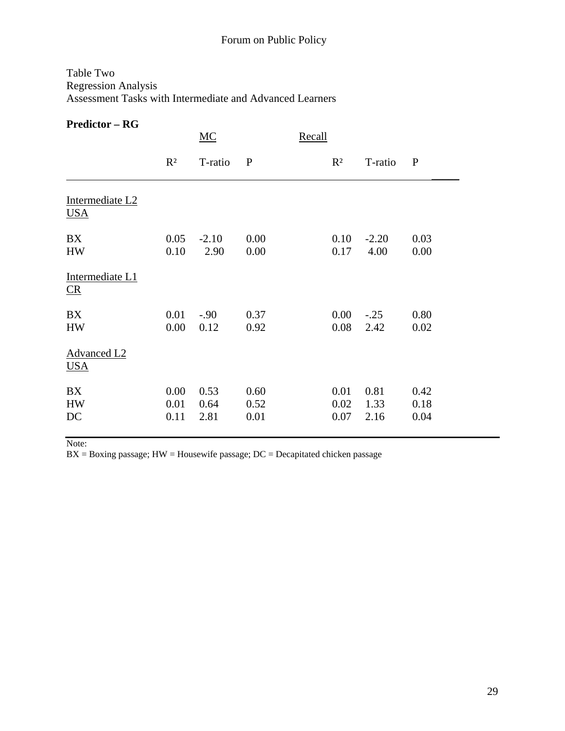# Table Two Regression Analysis Assessment Tasks with Intermediate and Advanced Learners

# **Predictor – RG**

|                                  |                      | MC                   |                      | Recall |                      |                      |                      |
|----------------------------------|----------------------|----------------------|----------------------|--------|----------------------|----------------------|----------------------|
|                                  | $R^2$                | T-ratio              | $\mathbf{P}$         |        | $R^2$                | T-ratio              | $\mathbf{P}$         |
| Intermediate L2<br><b>USA</b>    |                      |                      |                      |        |                      |                      |                      |
| <b>BX</b><br><b>HW</b>           | 0.05<br>0.10         | $-2.10$<br>2.90      | 0.00<br>0.00         |        | 0.10<br>0.17         | $-2.20$<br>4.00      | 0.03<br>0.00         |
| Intermediate L1<br>CR            |                      |                      |                      |        |                      |                      |                      |
| BX<br><b>HW</b>                  | 0.01<br>0.00         | $-.90$<br>0.12       | 0.37<br>0.92         |        | 0.00<br>0.08         | $-.25$<br>2.42       | 0.80<br>0.02         |
| <b>Advanced L2</b><br><b>USA</b> |                      |                      |                      |        |                      |                      |                      |
| BX<br><b>HW</b><br>DC            | 0.00<br>0.01<br>0.11 | 0.53<br>0.64<br>2.81 | 0.60<br>0.52<br>0.01 |        | 0.01<br>0.02<br>0.07 | 0.81<br>1.33<br>2.16 | 0.42<br>0.18<br>0.04 |

Note:

 $BX = Boxing$  passage;  $HW = Housewire$  passage;  $DC = Decapitated chicken$  passage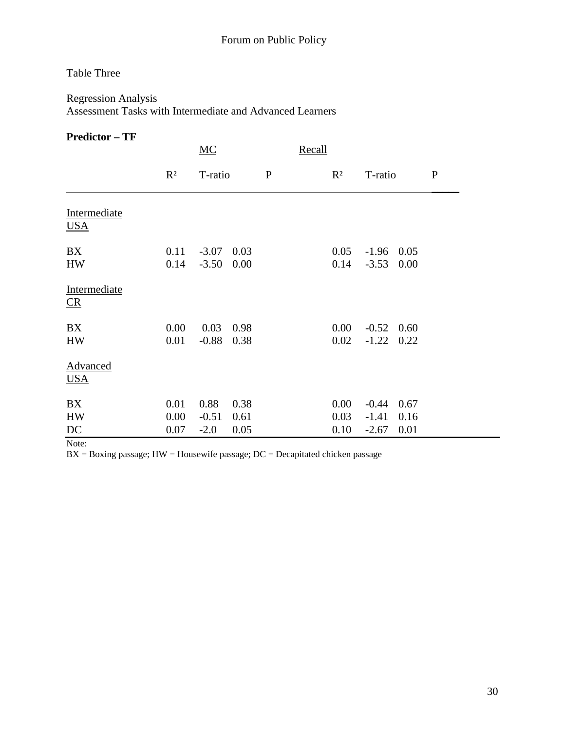# Table Three

# Regression Analysis Assessment Tasks with Intermediate and Advanced Learners

## **Predictor – TF**

|                               |                      | MC                        |                      | Recall       |  |                      |                               |                      |              |
|-------------------------------|----------------------|---------------------------|----------------------|--------------|--|----------------------|-------------------------------|----------------------|--------------|
|                               | $R^2$                | T-ratio                   |                      | $\mathbf{P}$ |  | $R^2$                | T-ratio                       |                      | $\mathbf{P}$ |
| Intermediate<br><b>USA</b>    |                      |                           |                      |              |  |                      |                               |                      |              |
| BX<br><b>HW</b>               | 0.11<br>0.14         | $-3.07$<br>$-3.50$        | 0.03<br>0.00         |              |  | 0.05<br>0.14         | $-1.96$ 0.05<br>$-3.53$ 0.00  |                      |              |
| Intermediate<br>$\sqrt{CR}$   |                      |                           |                      |              |  |                      |                               |                      |              |
| <b>BX</b><br><b>HW</b>        | 0.00<br>0.01         | 0.03<br>$-0.88$           | 0.98<br>0.38         |              |  | 0.00<br>0.02         | $-0.52$<br>$-1.22$            | 0.60<br>0.22         |              |
| <b>Advanced</b><br><b>USA</b> |                      |                           |                      |              |  |                      |                               |                      |              |
| <b>BX</b><br><b>HW</b><br>DC  | 0.01<br>0.00<br>0.07 | 0.88<br>$-0.51$<br>$-2.0$ | 0.38<br>0.61<br>0.05 |              |  | 0.00<br>0.03<br>0.10 | $-0.44$<br>$-1.41$<br>$-2.67$ | 0.67<br>0.16<br>0.01 |              |

Note:

 $BX = Boxing$  passage;  $HW = Housewire$  passage;  $DC = Decapitated chicken passage$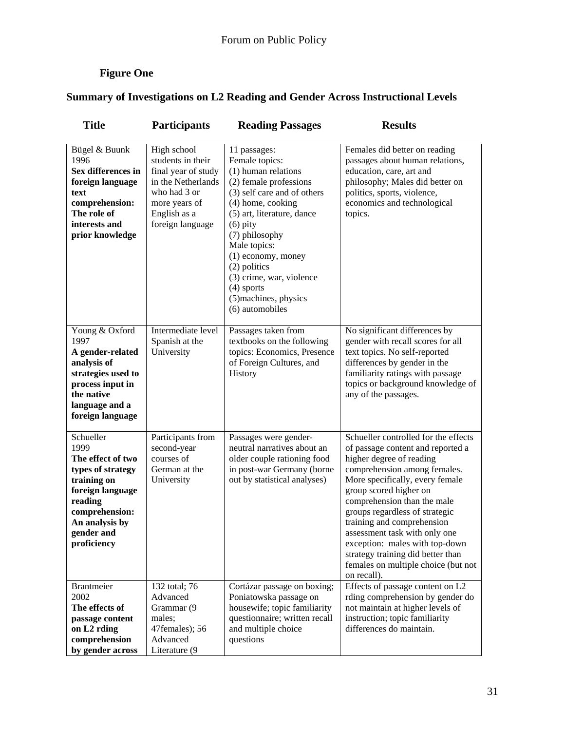# **Figure One**

# **Summary of Investigations on L2 Reading and Gender Across Instructional Levels**

| <b>Title</b>                                                                                                                                                               | <b>Participants</b>                                                                                                                                | <b>Reading Passages</b>                                                                                                                                                                                                                                                                                                                         | <b>Results</b>                                                                                                                                                                                                                                                                                                                                                                                                                                                  |  |  |
|----------------------------------------------------------------------------------------------------------------------------------------------------------------------------|----------------------------------------------------------------------------------------------------------------------------------------------------|-------------------------------------------------------------------------------------------------------------------------------------------------------------------------------------------------------------------------------------------------------------------------------------------------------------------------------------------------|-----------------------------------------------------------------------------------------------------------------------------------------------------------------------------------------------------------------------------------------------------------------------------------------------------------------------------------------------------------------------------------------------------------------------------------------------------------------|--|--|
| Bügel & Buunk<br>1996<br>Sex differences in<br>foreign language<br>text<br>comprehension:<br>The role of<br>interests and<br>prior knowledge                               | High school<br>students in their<br>final year of study<br>in the Netherlands<br>who had 3 or<br>more years of<br>English as a<br>foreign language | 11 passages:<br>Female topics:<br>(1) human relations<br>(2) female professions<br>(3) self care and of others<br>(4) home, cooking<br>(5) art, literature, dance<br>$(6)$ pity<br>(7) philosophy<br>Male topics:<br>(1) economy, money<br>(2) politics<br>(3) crime, war, violence<br>$(4)$ sports<br>(5) machines, physics<br>(6) automobiles | Females did better on reading<br>passages about human relations,<br>education, care, art and<br>philosophy; Males did better on<br>politics, sports, violence,<br>economics and technological<br>topics.                                                                                                                                                                                                                                                        |  |  |
| Young & Oxford<br>1997<br>A gender-related<br>analysis of<br>strategies used to<br>process input in<br>the native<br>language and a<br>foreign language                    | Intermediate level<br>Spanish at the<br>University                                                                                                 | Passages taken from<br>textbooks on the following<br>topics: Economics, Presence<br>of Foreign Cultures, and<br>History                                                                                                                                                                                                                         | No significant differences by<br>gender with recall scores for all<br>text topics. No self-reported<br>differences by gender in the<br>familiarity ratings with passage<br>topics or background knowledge of<br>any of the passages.                                                                                                                                                                                                                            |  |  |
| Schueller<br>1999<br>The effect of two<br>types of strategy<br>training on<br>foreign language<br>reading<br>comprehension:<br>An analysis by<br>gender and<br>proficiency | Participants from<br>second-year<br>courses of<br>German at the<br>University                                                                      | Passages were gender-<br>neutral narratives about an<br>older couple rationing food<br>in post-war Germany (borne<br>out by statistical analyses)                                                                                                                                                                                               | Schueller controlled for the effects<br>of passage content and reported a<br>higher degree of reading<br>comprehension among females.<br>More specifically, every female<br>group scored higher on<br>comprehension than the male<br>groups regardless of strategic<br>training and comprehension<br>assessment task with only one<br>exception: males with top-down<br>strategy training did better than<br>females on multiple choice (but not<br>on recall). |  |  |
| <b>Brantmeier</b><br>2002<br>The effects of<br>passage content<br>on L2 rding<br>comprehension<br>by gender across                                                         | 132 total; 76<br>Advanced<br>Grammar (9<br>males;<br>47females); 56<br>Advanced<br>Literature (9                                                   | Cortázar passage on boxing;<br>Poniatowska passage on<br>housewife; topic familiarity<br>questionnaire; written recall<br>and multiple choice<br>questions                                                                                                                                                                                      | Effects of passage content on L2<br>rding comprehension by gender do<br>not maintain at higher levels of<br>instruction; topic familiarity<br>differences do maintain.                                                                                                                                                                                                                                                                                          |  |  |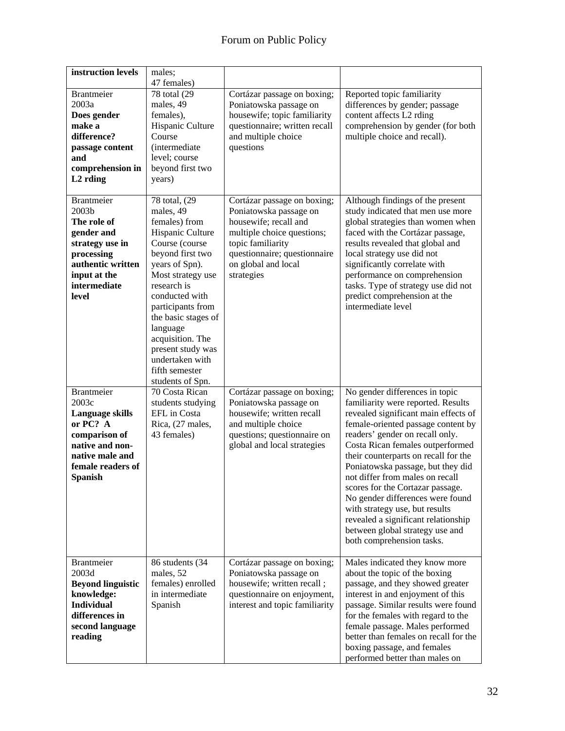| instruction levels                                                                                                                                      | males;<br>47 females)                                                                                                                                                                                                                                                                                                                    |                                                                                                                                                                                                        |                                                                                                                                                                                                                                                                                                                                                                                                                                                                                                                                                            |
|---------------------------------------------------------------------------------------------------------------------------------------------------------|------------------------------------------------------------------------------------------------------------------------------------------------------------------------------------------------------------------------------------------------------------------------------------------------------------------------------------------|--------------------------------------------------------------------------------------------------------------------------------------------------------------------------------------------------------|------------------------------------------------------------------------------------------------------------------------------------------------------------------------------------------------------------------------------------------------------------------------------------------------------------------------------------------------------------------------------------------------------------------------------------------------------------------------------------------------------------------------------------------------------------|
| <b>Brantmeier</b><br>2003a<br>Does gender<br>make a<br>difference?<br>passage content<br>and<br>comprehension in<br>L <sub>2</sub> rding                | 78 total (29<br>males, 49<br>females),<br>Hispanic Culture<br>Course<br><i>(intermediate)</i><br>level; course<br>beyond first two<br>years)                                                                                                                                                                                             | Cortázar passage on boxing;<br>Poniatowska passage on<br>housewife; topic familiarity<br>questionnaire; written recall<br>and multiple choice<br>questions                                             | Reported topic familiarity<br>differences by gender; passage<br>content affects L2 rding<br>comprehension by gender (for both<br>multiple choice and recall).                                                                                                                                                                                                                                                                                                                                                                                              |
| <b>Brantmeier</b><br>2003b<br>The role of<br>gender and<br>strategy use in<br>processing<br>authentic written<br>input at the<br>intermediate<br>level  | 78 total, (29)<br>males, 49<br>females) from<br>Hispanic Culture<br>Course (course<br>beyond first two<br>years of Spn).<br>Most strategy use<br>research is<br>conducted with<br>participants from<br>the basic stages of<br>language<br>acquisition. The<br>present study was<br>undertaken with<br>fifth semester<br>students of Spn. | Cortázar passage on boxing;<br>Poniatowska passage on<br>housewife; recall and<br>multiple choice questions;<br>topic familiarity<br>questionnaire; questionnaire<br>on global and local<br>strategies | Although findings of the present<br>study indicated that men use more<br>global strategies than women when<br>faced with the Cortázar passage,<br>results revealed that global and<br>local strategy use did not<br>significantly correlate with<br>performance on comprehension<br>tasks. Type of strategy use did not<br>predict comprehension at the<br>intermediate level                                                                                                                                                                              |
| <b>Brantmeier</b><br>2003c<br>Language skills<br>or PC? A<br>comparison of<br>native and non-<br>native male and<br>female readers of<br><b>Spanish</b> | 70 Costa Rican<br>students studying<br>EFL in Costa<br>Rica, (27 males,<br>43 females)                                                                                                                                                                                                                                                   | Cortázar passage on boxing;<br>Poniatowska passage on<br>housewife; written recall<br>and multiple choice<br>questions; questionnaire on<br>global and local strategies                                | No gender differences in topic<br>familiarity were reported. Results<br>revealed significant main effects of<br>female-oriented passage content by<br>readers' gender on recall only.<br>Costa Rican females outperformed<br>their counterparts on recall for the<br>Poniatowska passage, but they did<br>not differ from males on recall<br>scores for the Cortazar passage.<br>No gender differences were found<br>with strategy use, but results<br>revealed a significant relationship<br>between global strategy use and<br>both comprehension tasks. |
| <b>Brantmeier</b><br>2003d<br><b>Beyond linguistic</b><br>knowledge:<br><b>Individual</b><br>differences in<br>second language<br>reading               | 86 students (34<br>males, 52<br>females) enrolled<br>in intermediate<br>Spanish                                                                                                                                                                                                                                                          | Cortázar passage on boxing;<br>Poniatowska passage on<br>housewife; written recall;<br>questionnaire on enjoyment,<br>interest and topic familiarity                                                   | Males indicated they know more<br>about the topic of the boxing<br>passage, and they showed greater<br>interest in and enjoyment of this<br>passage. Similar results were found<br>for the females with regard to the<br>female passage. Males performed<br>better than females on recall for the<br>boxing passage, and females<br>performed better than males on                                                                                                                                                                                         |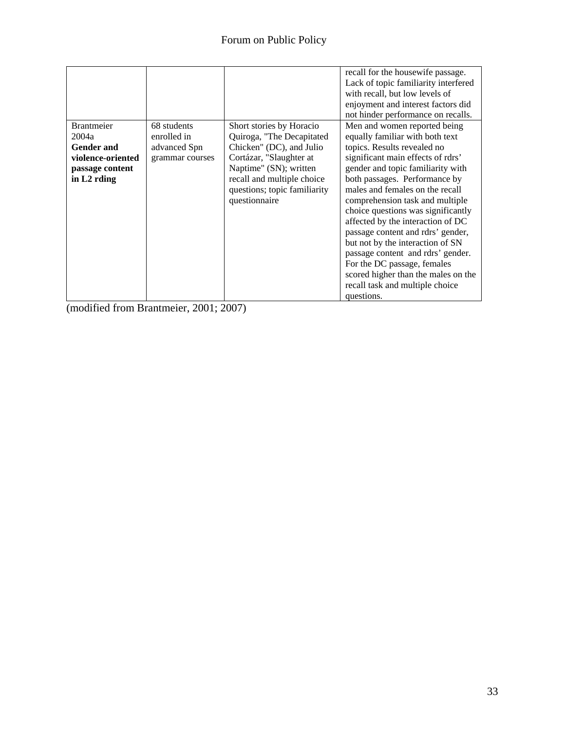|                                |                 |                                                                                                       | recall for the housewife passage.<br>Lack of topic familiarity interfered<br>with recall, but low levels of<br>enjoyment and interest factors did<br>not hinder performance on recalls.                                                                                                                                                                                                                                                                  |
|--------------------------------|-----------------|-------------------------------------------------------------------------------------------------------|----------------------------------------------------------------------------------------------------------------------------------------------------------------------------------------------------------------------------------------------------------------------------------------------------------------------------------------------------------------------------------------------------------------------------------------------------------|
| <b>Brantmeier</b>              | 68 students     | Short stories by Horacio                                                                              | Men and women reported being                                                                                                                                                                                                                                                                                                                                                                                                                             |
| 2004a                          | enrolled in     | Quiroga, "The Decapitated                                                                             | equally familiar with both text                                                                                                                                                                                                                                                                                                                                                                                                                          |
| <b>Gender and</b>              | advanced Spn    | Chicken" (DC), and Julio                                                                              | topics. Results revealed no                                                                                                                                                                                                                                                                                                                                                                                                                              |
| violence-oriented              | grammar courses | Cortázar, "Slaughter at                                                                               | significant main effects of rdrs'                                                                                                                                                                                                                                                                                                                                                                                                                        |
| passage content<br>in L2 rding |                 | Naptime" (SN); written<br>recall and multiple choice<br>questions; topic familiarity<br>questionnaire | gender and topic familiarity with<br>both passages. Performance by<br>males and females on the recall<br>comprehension task and multiple<br>choice questions was significantly<br>affected by the interaction of DC<br>passage content and rdrs' gender,<br>but not by the interaction of SN<br>passage content and rdrs' gender.<br>For the DC passage, females<br>scored higher than the males on the<br>recall task and multiple choice<br>questions. |

(modified from Brantmeier, 2001; 2007)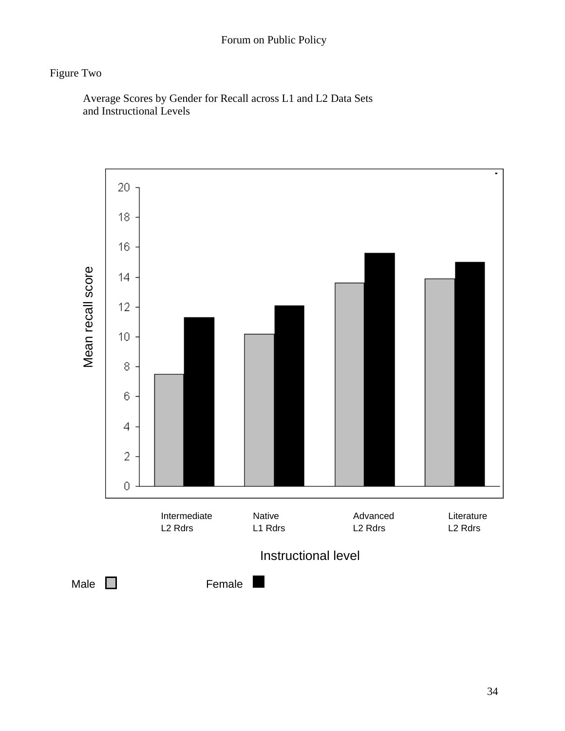# Figure Two

 Average Scores by Gender for Recall across L1 and L2 Data Sets and Instructional Levels

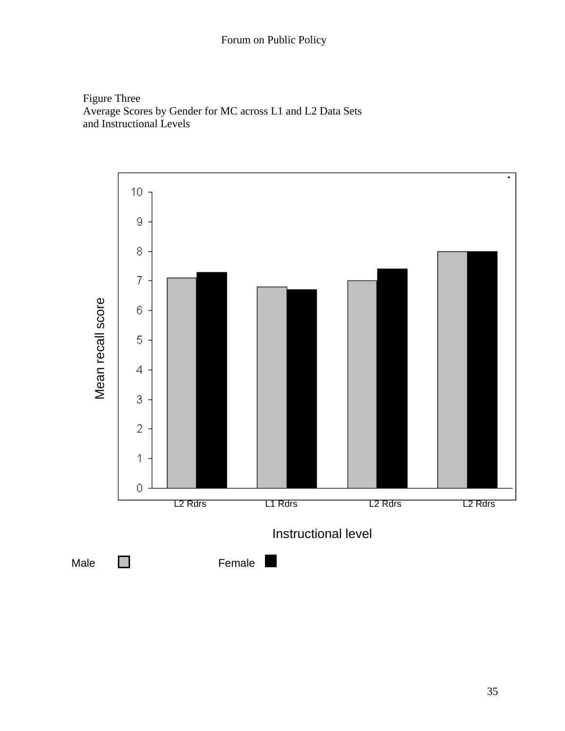Figure Three Average Scores by Gender for MC across L1 and L2 Data Sets and Instructional Levels